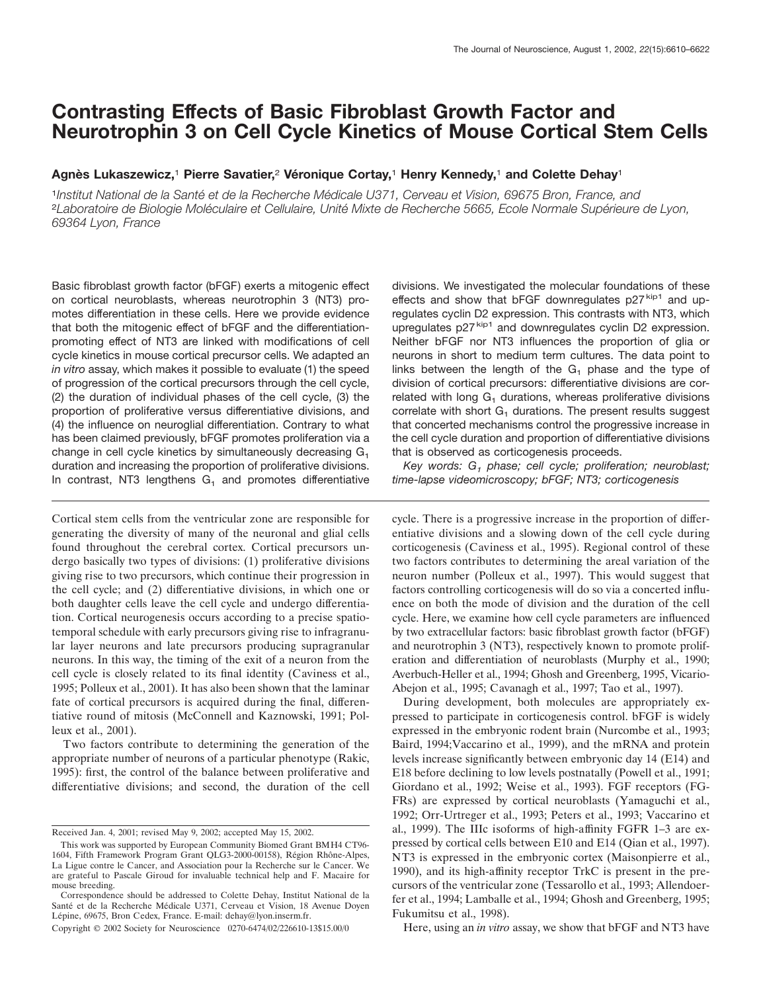# **Contrasting Effects of Basic Fibroblast Growth Factor and Neurotrophin 3 on Cell Cycle Kinetics of Mouse Cortical Stem Cells**

# **Agne` s Lukaszewicz,**<sup>1</sup> **Pierre Savatier,**<sup>2</sup> **Ve´ ronique Cortay,**<sup>1</sup> **Henry Kennedy,**<sup>1</sup> **and Colette Dehay**<sup>1</sup>

<sup>1</sup>*Institut National de la Sante´ et de la Recherche Me´ dicale U371, Cerveau et Vision, 69675 Bron, France, and* <sup>2</sup> Laboratoire de Biologie Moléculaire et Cellulaire, Unité Mixte de Recherche 5665, Ecole Normale Supérieure de Lyon, *69364 Lyon, France*

Basic fibroblast growth factor (bFGF) exerts a mitogenic effect on cortical neuroblasts, whereas neurotrophin 3 (NT3) promotes differentiation in these cells. Here we provide evidence that both the mitogenic effect of bFGF and the differentiationpromoting effect of NT3 are linked with modifications of cell cycle kinetics in mouse cortical precursor cells. We adapted an *in vitro* assay, which makes it possible to evaluate (1) the speed of progression of the cortical precursors through the cell cycle, (2) the duration of individual phases of the cell cycle, (3) the proportion of proliferative versus differentiative divisions, and (4) the influence on neuroglial differentiation. Contrary to what has been claimed previously, bFGF promotes proliferation via a change in cell cycle kinetics by simultaneously decreasing G<sub>1</sub> duration and increasing the proportion of proliferative divisions. In contrast, NT3 lengthens  $G_1$  and promotes differentiative

Cortical stem cells from the ventricular zone are responsible for generating the diversity of many of the neuronal and glial cells found throughout the cerebral cortex. Cortical precursors undergo basically two types of divisions: (1) proliferative divisions giving rise to two precursors, which continue their progression in the cell cycle; and (2) differentiative divisions, in which one or both daughter cells leave the cell cycle and undergo differentiation. Cortical neurogenesis occurs according to a precise spatiotemporal schedule with early precursors giving rise to infragranular layer neurons and late precursors producing supragranular neurons. In this way, the timing of the exit of a neuron from the cell cycle is closely related to its final identity (Caviness et al., 1995; Polleux et al., 2001). It has also been shown that the laminar fate of cortical precursors is acquired during the final, differentiative round of mitosis (McConnell and Kaznowski, 1991; Polleux et al., 2001).

Two factors contribute to determining the generation of the appropriate number of neurons of a particular phenotype (Rakic, 1995): first, the control of the balance between proliferative and differentiative divisions; and second, the duration of the cell

divisions. We investigated the molecular foundations of these effects and show that bFGF downregulates  $p27^{kip1}$  and upregulates cyclin D2 expression. This contrasts with NT3, which upregulates  $p27^{kip1}$  and downregulates cyclin D2 expression. Neither bFGF nor NT3 influences the proportion of glia or neurons in short to medium term cultures. The data point to links between the length of the  $G<sub>1</sub>$  phase and the type of division of cortical precursors: differentiative divisions are correlated with long  $G_1$  durations, whereas proliferative divisions correlate with short  $G_1$  durations. The present results suggest that concerted mechanisms control the progressive increase in the cell cycle duration and proportion of differentiative divisions that is observed as corticogenesis proceeds.

*Key words: G1 phase; cell cycle; proliferation; neuroblast; time-lapse videomicroscopy; bFGF; NT3; corticogenesis*

cycle. There is a progressive increase in the proportion of differentiative divisions and a slowing down of the cell cycle during corticogenesis (Caviness et al., 1995). Regional control of these two factors contributes to determining the areal variation of the neuron number (Polleux et al., 1997). This would suggest that factors controlling corticogenesis will do so via a concerted influence on both the mode of division and the duration of the cell cycle. Here, we examine how cell cycle parameters are influenced by two extracellular factors: basic fibroblast growth factor (bFGF) and neurotrophin 3 (NT3), respectively known to promote proliferation and differentiation of neuroblasts (Murphy et al., 1990; Averbuch-Heller et al., 1994; Ghosh and Greenberg, 1995, Vicario-Abejon et al., 1995; Cavanagh et al., 1997; Tao et al., 1997).

During development, both molecules are appropriately expressed to participate in corticogenesis control. bFGF is widely expressed in the embryonic rodent brain (Nurcombe et al., 1993; Baird, 1994;Vaccarino et al., 1999), and the mRNA and protein levels increase significantly between embryonic day 14 (E14) and E18 before declining to low levels postnatally (Powell et al., 1991; Giordano et al., 1992; Weise et al., 1993). FGF receptors (FG-FRs) are expressed by cortical neuroblasts (Yamaguchi et al., 1992; Orr-Urtreger et al., 1993; Peters et al., 1993; Vaccarino et al., 1999). The IIIc isoforms of high-affinity FGFR 1–3 are expressed by cortical cells between E10 and E14 (Qian et al., 1997). NT3 is expressed in the embryonic cortex (Maisonpierre et al., 1990), and its high-affinity receptor TrkC is present in the precursors of the ventricular zone (Tessarollo et al., 1993; Allendoerfer et al., 1994; Lamballe et al., 1994; Ghosh and Greenberg, 1995; Fukumitsu et al., 1998).

Here, using an *in vitro* assay, we show that bFGF and NT3 have

Received Jan. 4, 2001; revised May 9, 2002; accepted May 15, 2002.

This work was supported by European Community Biomed Grant BMH4 CT96- 1604, Fifth Framework Program Grant QLG3-2000-00158), Région Rhône-Alpes, La Ligue contre le Cancer, and Association pour la Recherche sur le Cancer. We are grateful to Pascale Giroud for invaluable technical help and F. Macaire for mouse breeding.

Correspondence should be addressed to Colette Dehay, Institut National de la Santé et de la Recherche Médicale U371, Cerveau et Vision, 18 Avenue Doyen Lépine, 69675, Bron Cedex, France. E-mail: dehay@lyon.inserm.fr.

Copyright © 2002 Society for Neuroscience 0270-6474/02/226610-13\$15.00/0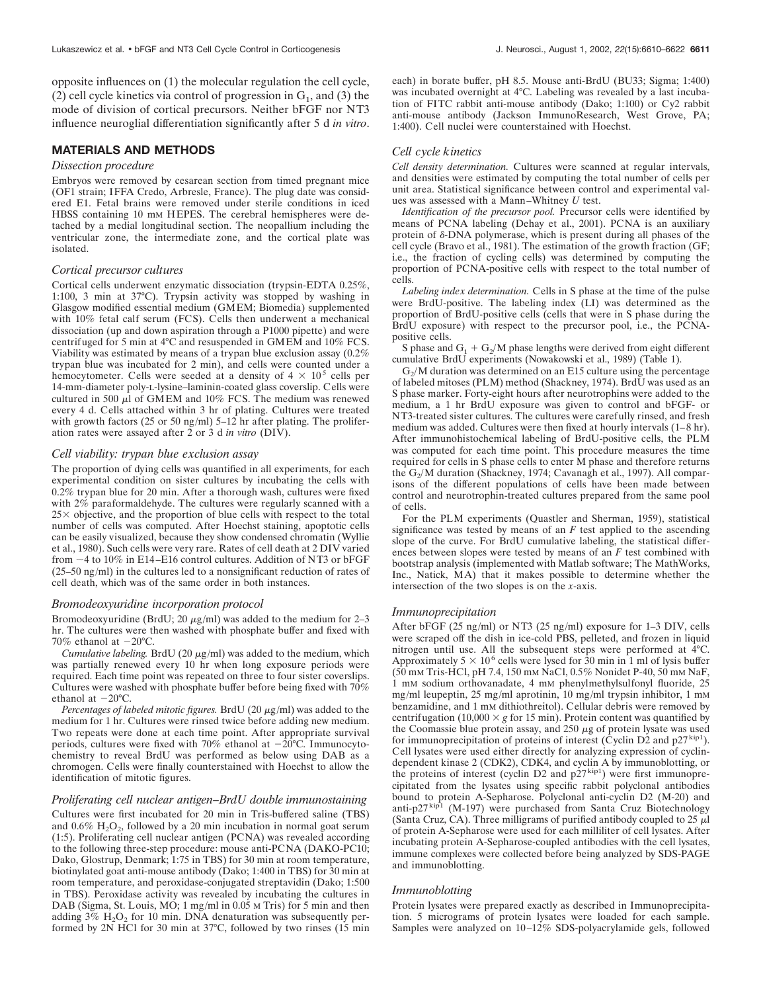opposite influences on (1) the molecular regulation the cell cycle, (2) cell cycle kinetics via control of progression in  $G_1$ , and (3) the mode of division of cortical precursors. Neither bFGF nor NT3 influence neuroglial differentiation significantly after 5 d *in vitro*.

# **MATERIALS AND METHODS**

#### *Dissection procedure*

Embryos were removed by cesarean section from timed pregnant mice (OF1 strain; IFFA Credo, Arbresle, France). The plug date was considered E1. Fetal brains were removed under sterile conditions in iced HBSS containing 10 mM HEPES. The cerebral hemispheres were detached by a medial longitudinal section. The neopallium including the ventricular zone, the intermediate zone, and the cortical plate was isolated.

#### *Cortical precursor cultures*

Cortical cells underwent enzymatic dissociation (trypsin-EDTA 0.25%, 1:100, 3 min at 37°C). Trypsin activity was stopped by washing in Glasgow modified essential medium (GMEM; Biomedia) supplemented with 10% fetal calf serum (FCS). Cells then underwent a mechanical dissociation (up and down aspiration through a P1000 pipette) and were centrifuged for 5 min at 4°C and resuspended in GMEM and 10% FCS. Viability was estimated by means of a trypan blue exclusion assay (0.2% trypan blue was incubated for 2 min), and cells were counted under a hemocytometer. Cells were seeded at a density of  $4 \times 10^5$  cells per 14-mm-diameter poly-L-lysine–laminin-coated glass coverslip. Cells were cultured in 500  $\mu$ l of GMEM and 10% FCS. The medium was renewed every 4 d. Cells attached within 3 hr of plating. Cultures were treated with growth factors (25 or 50 ng/ml) 5–12 hr after plating. The proliferation rates were assayed after 2 or 3 d *in vitro* (DIV).

### *Cell viability: trypan blue exclusion assay*

The proportion of dying cells was quantified in all experiments, for each experimental condition on sister cultures by incubating the cells with 0.2% trypan blue for 20 min. After a thorough wash, cultures were fixed with 2% paraformaldehyde. The cultures were regularly scanned with a  $25 \times$  objective, and the proportion of blue cells with respect to the total number of cells was computed. After Hoechst staining, apoptotic cells can be easily visualized, because they show condensed chromatin (Wyllie et al., 1980). Such cells were very rare. Rates of cell death at 2 DIV varied from  $\sim$ 4 to 10% in E14–E16 control cultures. Addition of NT3 or bFGF (25–50 ng/ml) in the cultures led to a nonsignificant reduction of rates of cell death, which was of the same order in both instances.

#### *Bromodeoxyuridine incorporation protocol*

Bromodeoxyuridine (BrdU; 20  $\mu$ g/ml) was added to the medium for 2–3 hr. The cultures were then washed with phosphate buffer and fixed with 70% ethanol at  $-20^{\circ}$ C.

*Cumulative labeling.* BrdU (20  $\mu$ g/ml) was added to the medium, which was partially renewed every 10 hr when long exposure periods were required. Each time point was repeated on three to four sister coverslips. Cultures were washed with phosphate buffer before being fixed with 70% ethanol at  $-20^{\circ}$ C.

*Percentages of labeled mitotic figures.* BrdU (20  $\mu$ g/ml) was added to the medium for 1 hr. Cultures were rinsed twice before adding new medium. Two repeats were done at each time point. After appropriate survival periods, cultures were fixed with  $70\%$  ethanol at  $-20^{\circ}$ C. Immunocytochemistry to reveal BrdU was performed as below using DAB as a chromogen. Cells were finally counterstained with Hoechst to allow the identification of mitotic figures.

### *Proliferating cell nuclear antigen–BrdU double immunostaining*

Cultures were first incubated for 20 min in Tris-buffered saline (TBS) and  $0.6\%$  H<sub>2</sub>O<sub>2</sub>, followed by a 20 min incubation in normal goat serum (1:5). Proliferating cell nuclear antigen (PCNA) was revealed according to the following three-step procedure: mouse anti-PCNA (DAKO-PC10; Dako, Glostrup, Denmark; 1:75 in TBS) for 30 min at room temperature, biotinylated goat anti-mouse antibody (Dako; 1:400 in TBS) for 30 min at room temperature, and peroxidase-conjugated streptavidin (Dako; 1:500 in TBS). Peroxidase activity was revealed by incubating the cultures in DAB (Sigma, St. Louis, MO; 1 mg/ml in 0.05 M Tris) for 5 min and then adding  $3\%$  H<sub>2</sub>O<sub>2</sub> for 10 min. DNA denaturation was subsequently performed by 2N HCl for 30 min at 37°C, followed by two rinses (15 min each) in borate buffer, pH 8.5. Mouse anti-BrdU (BU33; Sigma; 1:400) was incubated overnight at 4°C. Labeling was revealed by a last incubation of FITC rabbit anti-mouse antibody (Dako; 1:100) or Cy2 rabbit anti-mouse antibody (Jackson ImmunoResearch, West Grove, PA; 1:400). Cell nuclei were counterstained with Hoechst.

# *Cell cycle kinetics*

*Cell density determination.* Cultures were scanned at regular intervals, and densities were estimated by computing the total number of cells per unit area. Statistical significance between control and experimental values was assessed with a Mann–Whitney *U* test.

*Identification of the precursor pool.* Precursor cells were identified by means of PCNA labeling (Dehay et al., 2001). PCNA is an auxiliary protein of  $\delta$ -DNA polymerase, which is present during all phases of the cell cycle (Bravo et al., 1981). The estimation of the growth fraction (GF; i.e., the fraction of cycling cells) was determined by computing the proportion of PCNA-positive cells with respect to the total number of cells.

*Labeling index determination.* Cells in S phase at the time of the pulse were BrdU-positive. The labeling index (LI) was determined as the proportion of BrdU-positive cells (cells that were in S phase during the BrdU exposure) with respect to the precursor pool, i.e., the PCNApositive cells.

S phase and  $G_1 + G_2/M$  phase lengths were derived from eight different cumulative BrdU experiments (Nowakowski et al., 1989) (Table 1).

 $G<sub>2</sub>/M$  duration was determined on an E15 culture using the percentage of labeled mitoses (PLM) method (Shackney, 1974). BrdU was used as an S phase marker. Forty-eight hours after neurotrophins were added to the medium, a 1 hr BrdU exposure was given to control and bFGF- or NT3-treated sister cultures. The cultures were carefully rinsed, and fresh medium was added. Cultures were then fixed at hourly intervals (1–8 hr). After immunohistochemical labeling of BrdU-positive cells, the PLM was computed for each time point. This procedure measures the time required for cells in S phase cells to enter M phase and therefore returns the G<sub>2</sub>/M duration (Shackney, 1974; Cavanagh et al., 1997). All comparisons of the different populations of cells have been made between control and neurotrophin-treated cultures prepared from the same pool of cells.

For the PLM experiments (Quastler and Sherman, 1959), statistical significance was tested by means of an  $F$  test applied to the ascending slope of the curve. For BrdU cumulative labeling, the statistical differences between slopes were tested by means of an *F* test combined with bootstrap analysis (implemented with Matlab software; The MathWorks, Inc., Natick, MA) that it makes possible to determine whether the intersection of the two slopes is on the *x*-axis.

#### *Immunoprecipitation*

After bFGF (25 ng/ml) or NT3 (25 ng/ml) exposure for 1–3 DIV, cells were scraped off the dish in ice-cold PBS, pelleted, and frozen in liquid nitrogen until use. All the subsequent steps were performed at 4°C. Approximately  $5 \times 10^6$  cells were lysed for 30 min in 1 ml of lysis buffer (50 mM Tris-HCl, pH 7.4, 150 mM NaCl, 0.5% Nonidet P-40, 50 mM NaF, 1 mM sodium orthovanadate, 4 mM phenylmethylsulfonyl fluoride, 25 mg/ml leupeptin, 25 mg/ml aprotinin, 10 mg/ml trypsin inhibitor, 1 mm benzamidine, and 1 mM dithiothreitol). Cellular debris were removed by centrifugation (10,000  $\times$  g for 15 min). Protein content was quantified by the Coomassie blue protein assay, and  $250 \mu$ g of protein lysate was used for immunoprecipitation of proteins of interest (Cyclin D2 and  $p27^{kip1}$ ). Cell lysates were used either directly for analyzing expression of cyclindependent kinase 2 (CDK2), CDK4, and cyclin A by immunoblotting, or the proteins of interest (cyclin D2 and  $p27^{kip1}$ ) were first immunoprecipitated from the lysates using specific rabbit polyclonal antibodies bound to protein A-Sepharose. Polyclonal anti-cyclin D2 (M-20) and anti-p27 kip1 (M-197) were purchased from Santa Cruz Biotechnology (Santa Cruz, CA). Three milligrams of purified antibody coupled to  $25 \mu$ of protein A-Sepharose were used for each milliliter of cell lysates. After incubating protein A-Sepharose-coupled antibodies with the cell lysates, immune complexes were collected before being analyzed by SDS-PAGE and immunoblotting.

### *Immunoblotting*

Protein lysates were prepared exactly as described in Immunoprecipitation. 5 micrograms of protein lysates were loaded for each sample. Samples were analyzed on 10–12% SDS-polyacrylamide gels, followed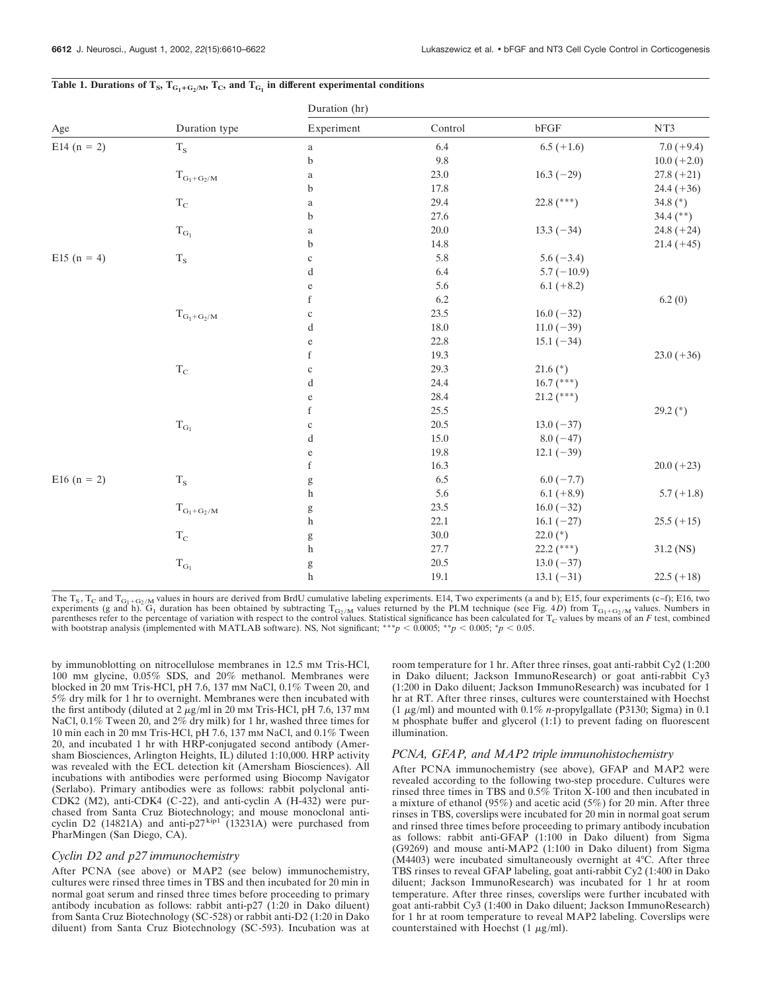|                 | Duration type      |                                                                                                                                                                                                                                                                                                                                                                                                                                |          |              |               |
|-----------------|--------------------|--------------------------------------------------------------------------------------------------------------------------------------------------------------------------------------------------------------------------------------------------------------------------------------------------------------------------------------------------------------------------------------------------------------------------------|----------|--------------|---------------|
| Age             |                    | Duration (hr)                                                                                                                                                                                                                                                                                                                                                                                                                  |          |              |               |
|                 |                    | Experiment                                                                                                                                                                                                                                                                                                                                                                                                                     | Control  | ${\rm bFGF}$ | NT3           |
| E14 $(n = 2)$   | $T_S$              | $\rm{a}$                                                                                                                                                                                                                                                                                                                                                                                                                       | 6.4      | $6.5 (+1.6)$ | $7.0 (+9.4)$  |
|                 |                    | $\mathbf b$                                                                                                                                                                                                                                                                                                                                                                                                                    | $9.8\,$  |              | $10.0 (+2.0)$ |
|                 | $T_{G_1+G_2/M}$    | $\rm{a}$                                                                                                                                                                                                                                                                                                                                                                                                                       | $23.0\,$ | $16.3(-29)$  | $27.8 (+21)$  |
|                 |                    | $\mathbf b$                                                                                                                                                                                                                                                                                                                                                                                                                    | 17.8     |              | $24.4 (+36)$  |
|                 | $\rm T_{C}$        | $\rm{a}$                                                                                                                                                                                                                                                                                                                                                                                                                       | 29.4     | 22.8 (***)   | 34.8 $(*)$    |
|                 |                    | b                                                                                                                                                                                                                                                                                                                                                                                                                              | 27.6     |              | 34.4 $(**)$   |
|                 | $\rm T_{G_1}$      | $\rm{a}$                                                                                                                                                                                                                                                                                                                                                                                                                       | $20.0\,$ | $13.3(-34)$  | $24.8 (+24)$  |
|                 |                    | b                                                                                                                                                                                                                                                                                                                                                                                                                              | 14.8     |              | $21.4 (+45)$  |
| E15 $(n = 4)$   | $\rm T_S$          | $\mathbf c$                                                                                                                                                                                                                                                                                                                                                                                                                    | 5.8      | $5.6(-3.4)$  |               |
|                 |                    | d                                                                                                                                                                                                                                                                                                                                                                                                                              | 6.4      | $5.7(-10.9)$ |               |
|                 |                    | ${\rm e}$                                                                                                                                                                                                                                                                                                                                                                                                                      | 5.6      | $6.1 (+8.2)$ |               |
|                 |                    | $\mathbf f$                                                                                                                                                                                                                                                                                                                                                                                                                    | 6.2      |              | 6.2(0)        |
|                 | $T_{G_1+G_2/M}$    | $\mathbf c$                                                                                                                                                                                                                                                                                                                                                                                                                    | 23.5     | $16.0(-32)$  |               |
|                 |                    | $\mathbf d$                                                                                                                                                                                                                                                                                                                                                                                                                    | 18.0     | $11.0(-39)$  |               |
|                 |                    | ${\rm e}$                                                                                                                                                                                                                                                                                                                                                                                                                      | 22.8     | $15.1(-34)$  |               |
|                 |                    | $\mathbf f$                                                                                                                                                                                                                                                                                                                                                                                                                    | 19.3     |              | $23.0 (+36)$  |
|                 | $\rm T_{C}$        | $\mathbf c$                                                                                                                                                                                                                                                                                                                                                                                                                    | 29.3     | $21.6$ (*)   |               |
|                 |                    | d                                                                                                                                                                                                                                                                                                                                                                                                                              | 24.4     | $16.7$ (***) |               |
|                 |                    | ${\rm e}$                                                                                                                                                                                                                                                                                                                                                                                                                      | 28.4     | $21.2$ (***) |               |
|                 |                    | $\mathbf f$                                                                                                                                                                                                                                                                                                                                                                                                                    | 25.5     |              | $29.2$ (*)    |
|                 | $T_{\mathrm{G}_1}$ | $\mathbf c$                                                                                                                                                                                                                                                                                                                                                                                                                    | 20.5     | $13.0(-37)$  |               |
|                 |                    | d                                                                                                                                                                                                                                                                                                                                                                                                                              | $15.0\,$ | $8.0(-47)$   |               |
|                 |                    | $\mathbf{e}% _{B}=\mathbf{e}_{B}+\mathbf{e}_{B}+\mathbf{e}_{B}+\mathbf{e}_{B}$                                                                                                                                                                                                                                                                                                                                                 | 19.8     | $12.1(-39)$  |               |
|                 |                    | $\mathbf f$                                                                                                                                                                                                                                                                                                                                                                                                                    | 16.3     |              | $20.0 (+23)$  |
| E16 ( $n = 2$ ) | $\rm T_S$          | $\mathbf{g}% _{T}=\mathbf{g}_{T}=\mathbf{g}_{T}=\mathbf{g}_{T}=\mathbf{g}_{T}=\mathbf{g}_{T}=\mathbf{g}_{T}=\mathbf{g}_{T}=\mathbf{g}_{T}=\mathbf{g}_{T}=\mathbf{g}_{T}=\mathbf{g}_{T}=\mathbf{g}_{T}=\mathbf{g}_{T}=\mathbf{g}_{T}=\mathbf{g}_{T}=\mathbf{g}_{T}=\mathbf{g}_{T}=\mathbf{g}_{T}=\mathbf{g}_{T}=\mathbf{g}_{T}=\mathbf{g}_{T}=\mathbf{g}_{T}=\mathbf{g}_{T}=\mathbf{g}_{T}=\mathbf{g}_{T}=\mathbf{g}_{T}=\math$ | 6.5      | $6.0(-7.7)$  |               |
|                 |                    | $\boldsymbol{\mathrm{h}}$                                                                                                                                                                                                                                                                                                                                                                                                      | 5.6      | $6.1 (+8.9)$ | $5.7(+1.8)$   |
|                 | $T_{G_1+G_2/M}$    | g                                                                                                                                                                                                                                                                                                                                                                                                                              | 23.5     | $16.0(-32)$  |               |
|                 |                    | $\boldsymbol{\mathrm{h}}$                                                                                                                                                                                                                                                                                                                                                                                                      | 22.1     | $16.1(-27)$  | $25.5 (+15)$  |
|                 | $\rm T_{C}$        | $\mathbf{g}% _{T}=\mathbf{g}_{T}=\mathbf{g}_{T}=\mathbf{g}_{T}=\mathbf{g}_{T}=\mathbf{g}_{T}=\mathbf{g}_{T}=\mathbf{g}_{T}=\mathbf{g}_{T}=\mathbf{g}_{T}=\mathbf{g}_{T}=\mathbf{g}_{T}=\mathbf{g}_{T}=\mathbf{g}_{T}=\mathbf{g}_{T}=\mathbf{g}_{T}=\mathbf{g}_{T}=\mathbf{g}_{T}=\mathbf{g}_{T}=\mathbf{g}_{T}=\mathbf{g}_{T}=\mathbf{g}_{T}=\mathbf{g}_{T}=\mathbf{g}_{T}=\mathbf{g}_{T}=\mathbf{g}_{T}=\mathbf{g}_{T}=\math$ | $30.0\,$ | $22.0$ (*)   |               |
|                 |                    | $\,$ h                                                                                                                                                                                                                                                                                                                                                                                                                         | 27.7     | $22.2$ (***) | 31.2 (NS)     |
|                 | $T_{\mathrm{G}_1}$ | $\mathbf{g}% _{T}=\mathbf{g}_{T}=\mathbf{g}_{T}=\mathbf{g}_{T}=\mathbf{g}_{T}=\mathbf{g}_{T}=\mathbf{g}_{T}=\mathbf{g}_{T}=\mathbf{g}_{T}=\mathbf{g}_{T}=\mathbf{g}_{T}=\mathbf{g}_{T}=\mathbf{g}_{T}=\mathbf{g}_{T}=\mathbf{g}_{T}=\mathbf{g}_{T}=\mathbf{g}_{T}=\mathbf{g}_{T}=\mathbf{g}_{T}=\mathbf{g}_{T}=\mathbf{g}_{T}=\mathbf{g}_{T}=\mathbf{g}_{T}=\mathbf{g}_{T}=\mathbf{g}_{T}=\mathbf{g}_{T}=\mathbf{g}_{T}=\math$ | 20.5     | $13.0(-37)$  |               |
|                 |                    | $\boldsymbol{\mathrm{h}}$                                                                                                                                                                                                                                                                                                                                                                                                      | $19.1\,$ | $13.1(-31)$  | $22.5 (+18)$  |
|                 |                    |                                                                                                                                                                                                                                                                                                                                                                                                                                |          |              |               |

# Table 1. Durations of  $T_S$ ,  $T_{G_1+G_2/M}$ ,  $T_C$ , and  $T_{G_1}$  in different experimental conditions

The T<sub>S</sub>, T<sub>C</sub> and T<sub>G1+G2/M</sub> values in hours are derived from BrdU cumulative labeling experiments. E14, Two experiments (a and b); E15, four experiments (c–f); E16, two experiments (g and h).  $G_1$  duration has been obtained by subtracting  $T_{G_2/M}$  values returned by the PLM technique (see Fig. 4D) from  $T_{G_1+G_2/M}$  values. Numbers in parentheses refer to the percentage of variation wi with bootstrap analysis (implemented with MATLAB software). NS, Not significant; \*\*\**p*  $\lt$  0.0005; \**p*  $\lt$  0.005; \**p*  $\lt$  0.05.

by immunoblotting on nitrocellulose membranes in 12.5 mm Tris-HCl, 100 mM glycine, 0.05% SDS, and 20% methanol. Membranes were blocked in 20 mM Tris-HCl, pH 7.6, 137 mM NaCl, 0.1% Tween 20, and 5% dry milk for 1 hr to overnight. Membranes were then incubated with the first antibody (diluted at  $2 \mu g/ml$  in 20 mm Tris-HCl, pH 7.6, 137 mm NaCl, 0.1% Tween 20, and 2% dry milk) for 1 hr, washed three times for 10 min each in 20 mM Tris-HCl, pH 7.6, 137 mM NaCl, and 0.1% Tween 20, and incubated 1 hr with HRP-conjugated second antibody (Amersham Biosciences, Arlington Heights, IL) diluted 1:10,000. HRP activity was revealed with the ECL detection kit (Amersham Biosciences). All incubations with antibodies were performed using Biocomp Navigator (Serlabo). Primary antibodies were as follows: rabbit polyclonal anti-CDK2 (M2), anti-CDK4 (C-22), and anti-cyclin A (H-432) were purchased from Santa Cruz Biotechnology; and mouse monoclonal anticyclin D2 (14821A) and anti-p27 $\frac{\text{kip1}}{1}$  (13231A) were purchased from PharMingen (San Diego, CA).

#### *Cyclin D2 and p27 immunochemistry*

After PCNA (see above) or MAP2 (see below) immunochemistry, cultures were rinsed three times in TBS and then incubated for 20 min in normal goat serum and rinsed three times before proceeding to primary antibody incubation as follows: rabbit anti-p27 (1:20 in Dako diluent) from Santa Cruz Biotechnology (SC-528) or rabbit anti-D2 (1:20 in Dako diluent) from Santa Cruz Biotechnology (SC-593). Incubation was at room temperature for 1 hr. After three rinses, goat anti-rabbit Cy2 (1:200 in Dako diluent; Jackson ImmunoResearch) or goat anti-rabbit Cy3 (1:200 in Dako diluent; Jackson ImmunoResearch) was incubated for 1 hr at RT. After three rinses, cultures were counterstained with Hoechst (1  $\mu$ g/ml) and mounted with 0.1% *n*-propylgallate (P3130; Sigma) in 0.1  $M$  phosphate buffer and glycerol  $(1:1)$  to prevent fading on fluorescent illumination.

# *PCNA, GFAP, and MAP2 triple immunohistochemistry*

After PCNA immunochemistry (see above), GFAP and MAP2 were revealed according to the following two-step procedure. Cultures were rinsed three times in TBS and 0.5% Triton X-100 and then incubated in a mixture of ethanol (95%) and acetic acid (5%) for 20 min. After three rinses in TBS, coverslips were incubated for 20 min in normal goat serum and rinsed three times before proceeding to primary antibody incubation as follows: rabbit anti-GFAP (1:100 in Dako diluent) from Sigma (G9269) and mouse anti-MAP2 (1:100 in Dako diluent) from Sigma (M4403) were incubated simultaneously overnight at 4°C. After three TBS rinses to reveal GFAP labeling, goat anti-rabbit Cy2 (1:400 in Dako diluent; Jackson ImmunoResearch) was incubated for 1 hr at room temperature. After three rinses, coverslips were further incubated with goat anti-rabbit Cy3 (1:400 in Dako diluent; Jackson ImmunoResearch) for 1 hr at room temperature to reveal MAP2 labeling. Coverslips were counterstained with Hoechst  $(1 \mu g/ml)$ .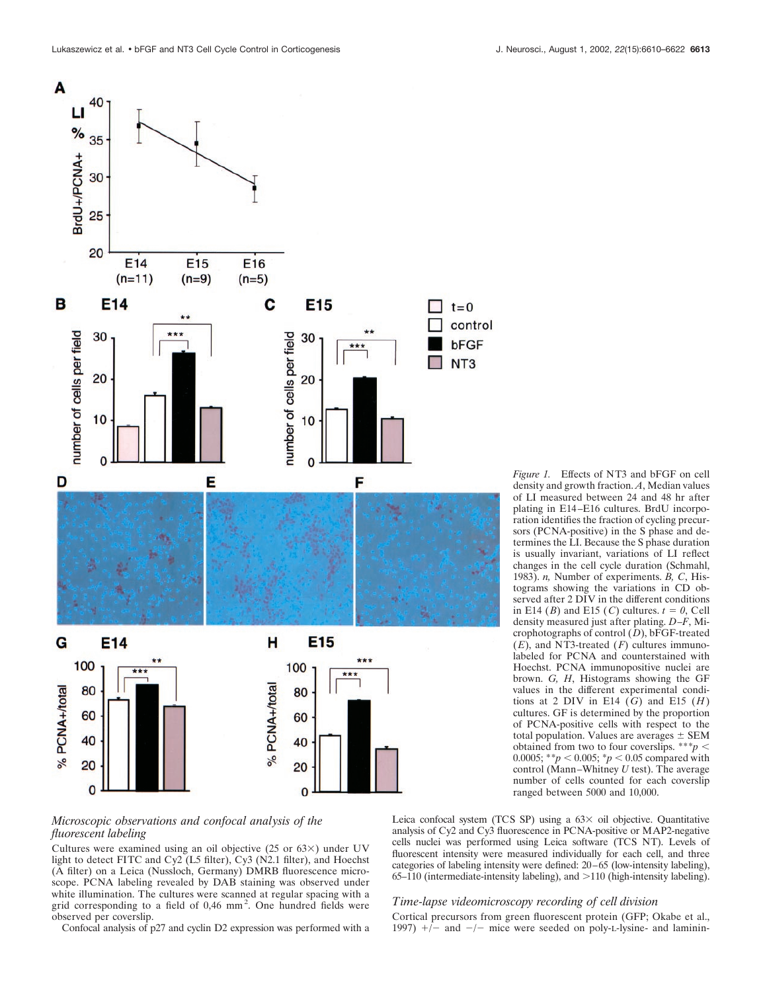

# *Microscopic observations and confocal analysis of the fluorescent labeling*

Cultures were examined using an oil objective (25 or  $63\times$ ) under UV light to detect FITC and Cy2 (L5 filter), Cy3 (N2.1 filter), and Hoechst (A filter) on a Leica (Nussloch, Germany) DMRB fluorescence microscope. PCNA labeling revealed by DAB staining was observed under white illumination. The cultures were scanned at regular spacing with a grid corresponding to a field of 0,46 mm<sup>2</sup>. One hundred fields were observed per coverslip.

Confocal analysis of p27 and cyclin D2 expression was performed with a

*Figure 1.* Effects of NT3 and bFGF on cell density and growth fraction. *A*, Median values of LI measured between 24 and 48 hr after plating in E14–E16 cultures. BrdU incorporation identifies the fraction of cycling precursors (PCNA-positive) in the S phase and determines the LI. Because the S phase duration is usually invariant, variations of LI reflect changes in the cell cycle duration (Schmahl, 1983). *n,* Number of experiments. *B, C*, Histograms showing the variations in CD observed after 2 DIV in the different conditions in E14 (*B*) and E15 (*C*) cultures.  $t = 0$ , Cell density measured just after plating. *D–F*, Microphotographs of control  $(D)$ , bFGF-treated (*E*), and NT3-treated (*F*) cultures immunolabeled for PCNA and counterstained with Hoechst. PCNA immunopositive nuclei are brown. *G, H*, Histograms showing the GF values in the different experimental conditions at 2 DIV in E14  $(G)$  and E15  $(H)$ cultures. GF is determined by the proportion of PCNA-positive cells with respect to the total population. Values are averages  $\pm$  SEM obtained from two to four coverslips. \*\*\**p* 0.0005; \*\**p* < 0.005; \**p* < 0.05 compared with control (Mann–Whitney *U* test). The average number of cells counted for each coverslip ranged between 5000 and 10,000.

Leica confocal system (TCS SP) using a  $63 \times$  oil objective. Quantitative analysis of Cy2 and Cy3 fluorescence in PCNA-positive or MAP2-negative cells nuclei was performed using Leica software (TCS NT). Levels of fluorescent intensity were measured individually for each cell, and three categories of labeling intensity were defined: 20–65 (low-intensity labeling),  $65-110$  (intermediate-intensity labeling), and  $>110$  (high-intensity labeling).

#### *Time-lapse videomicroscopy recording of cell division*

Cortical precursors from green fluorescent protein (GFP; Okabe et al., 1997)  $+/-$  and  $-/-$  mice were seeded on poly-L-lysine- and laminin-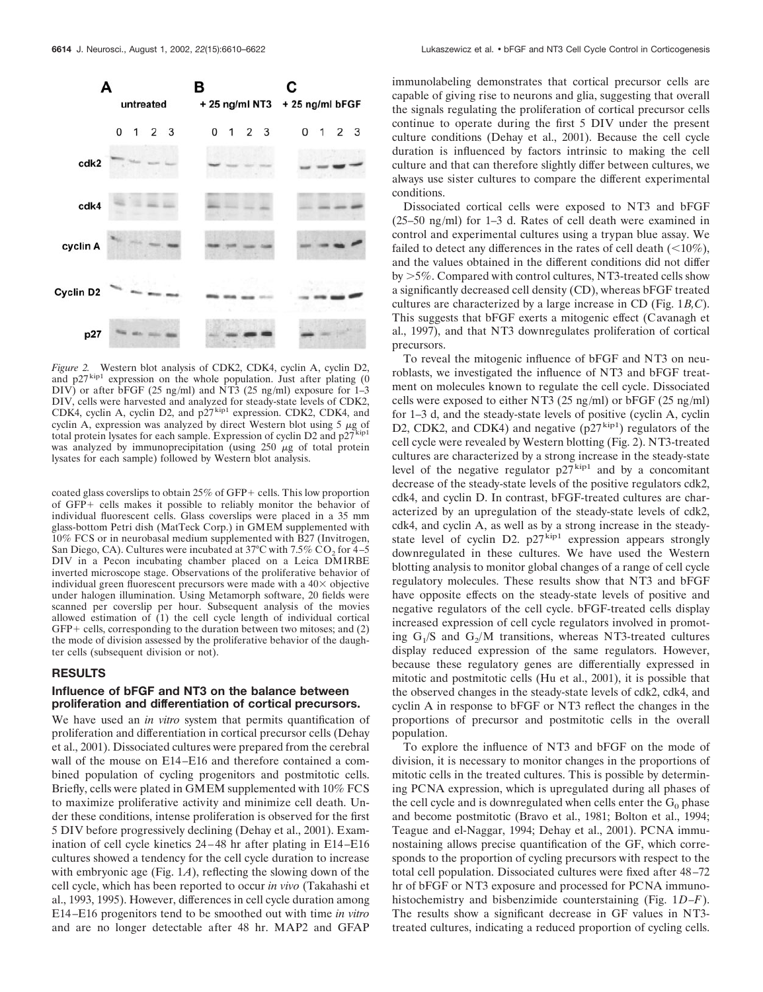

*Figure 2.* Western blot analysis of CDK2, CDK4, cyclin A, cyclin D2, and  $p27^{kip1}$  expression on the whole population. Just after plating (0 DIV) or after bFGF (25 ng/ml) and NT3 (25 ng/ml) exposure for 1–3 DIV, cells were harvested and analyzed for steady-state levels of CDK2, CDK4, cyclin A, cyclin D2, and p27 kip1 expression. CDK2, CDK4, and cyclin A, expression was analyzed by direct Western blot using  $5 \mu g$  of total protein lysates for each sample. Expression of cyclin D2 and p27<sup>kip1</sup> was analyzed by immunoprecipitation (using  $250 \mu g$  of total protein lysates for each sample) followed by Western blot analysis.

coated glass coverslips to obtain  $25\%$  of GFP+ cells. This low proportion of GFP+ cells makes it possible to reliably monitor the behavior of individual fluorescent cells. Glass coverslips were placed in a 35 mm glass-bottom Petri dish (MatTeck Corp.) in GMEM supplemented with 10% FCS or in neurobasal medium supplemented with B27 (Invitrogen, San Diego, CA). Cultures were incubated at 37°C with 7.5% CO<sub>2</sub> for 4–5 DIV in a Pecon incubating chamber placed on a Leica DMIRBE inverted microscope stage. Observations of the proliferative behavior of individual green fluorescent precursors were made with a  $40\times$  objective under halogen illumination. Using Metamorph software, 20 fields were scanned per coverslip per hour. Subsequent analysis of the movies allowed estimation of (1) the cell cycle length of individual cortical  $GFP +$  cells, corresponding to the duration between two mitoses; and  $(2)$ the mode of division assessed by the proliferative behavior of the daughter cells (subsequent division or not).

# **RESULTS**

# **Influence of bFGF and NT3 on the balance between proliferation and differentiation of cortical precursors.**

We have used an *in vitro* system that permits quantification of proliferation and differentiation in cortical precursor cells (Dehay et al., 2001). Dissociated cultures were prepared from the cerebral wall of the mouse on E14–E16 and therefore contained a combined population of cycling progenitors and postmitotic cells. Briefly, cells were plated in GMEM supplemented with 10% FCS to maximize proliferative activity and minimize cell death. Under these conditions, intense proliferation is observed for the first 5 DIV before progressively declining (Dehay et al., 2001). Examination of cell cycle kinetics 24–48 hr after plating in E14–E16 cultures showed a tendency for the cell cycle duration to increase with embryonic age (Fig. 1*A*), reflecting the slowing down of the cell cycle, which has been reported to occur *in vivo* (Takahashi et al., 1993, 1995). However, differences in cell cycle duration among E14–E16 progenitors tend to be smoothed out with time *in vitro* and are no longer detectable after 48 hr. MAP2 and GFAP

immunolabeling demonstrates that cortical precursor cells are capable of giving rise to neurons and glia, suggesting that overall the signals regulating the proliferation of cortical precursor cells continue to operate during the first 5 DIV under the present culture conditions (Dehay et al., 2001). Because the cell cycle duration is influenced by factors intrinsic to making the cell culture and that can therefore slightly differ between cultures, we always use sister cultures to compare the different experimental conditions.

Dissociated cortical cells were exposed to NT3 and bFGF (25–50 ng/ml) for 1–3 d. Rates of cell death were examined in control and experimental cultures using a trypan blue assay. We failed to detect any differences in the rates of cell death  $(10\%)$ , and the values obtained in the different conditions did not differ by 5%. Compared with control cultures, NT3-treated cells show a significantly decreased cell density (CD), whereas bFGF treated cultures are characterized by a large increase in CD (Fig. 1*B,C*). This suggests that bFGF exerts a mitogenic effect (Cavanagh et al., 1997), and that NT3 downregulates proliferation of cortical precursors.

To reveal the mitogenic influence of bFGF and NT3 on neuroblasts, we investigated the influence of NT3 and bFGF treatment on molecules known to regulate the cell cycle. Dissociated cells were exposed to either NT3 (25 ng/ml) or bFGF (25 ng/ml) for 1–3 d, and the steady-state levels of positive (cyclin A, cyclin D2, CDK2, and CDK4) and negative  $(p27<sup>kip1</sup>)$  regulators of the cell cycle were revealed by Western blotting (Fig. 2). NT3-treated cultures are characterized by a strong increase in the steady-state level of the negative regulator  $p27^{kip1}$  and by a concomitant decrease of the steady-state levels of the positive regulators cdk2, cdk4, and cyclin D. In contrast, bFGF-treated cultures are characterized by an upregulation of the steady-state levels of cdk2, cdk4, and cyclin A, as well as by a strong increase in the steadystate level of cyclin D2.  $p27^{kip1}$  expression appears strongly downregulated in these cultures. We have used the Western blotting analysis to monitor global changes of a range of cell cycle regulatory molecules. These results show that NT3 and bFGF have opposite effects on the steady-state levels of positive and negative regulators of the cell cycle. bFGF-treated cells display increased expression of cell cycle regulators involved in promoting  $G_1/S$  and  $G_2/M$  transitions, whereas NT3-treated cultures display reduced expression of the same regulators. However, because these regulatory genes are differentially expressed in mitotic and postmitotic cells (Hu et al., 2001), it is possible that the observed changes in the steady-state levels of cdk2, cdk4, and cyclin A in response to bFGF or NT3 reflect the changes in the proportions of precursor and postmitotic cells in the overall population.

To explore the influence of NT3 and bFGF on the mode of division, it is necessary to monitor changes in the proportions of mitotic cells in the treated cultures. This is possible by determining PCNA expression, which is upregulated during all phases of the cell cycle and is downregulated when cells enter the  $G_0$  phase and become postmitotic (Bravo et al., 1981; Bolton et al., 1994; Teague and el-Naggar, 1994; Dehay et al., 2001). PCNA immunostaining allows precise quantification of the GF, which corresponds to the proportion of cycling precursors with respect to the total cell population. Dissociated cultures were fixed after 48–72 hr of bFGF or NT3 exposure and processed for PCNA immunohistochemistry and bisbenzimide counterstaining (Fig. 1*D–F*). The results show a significant decrease in GF values in NT3 treated cultures, indicating a reduced proportion of cycling cells.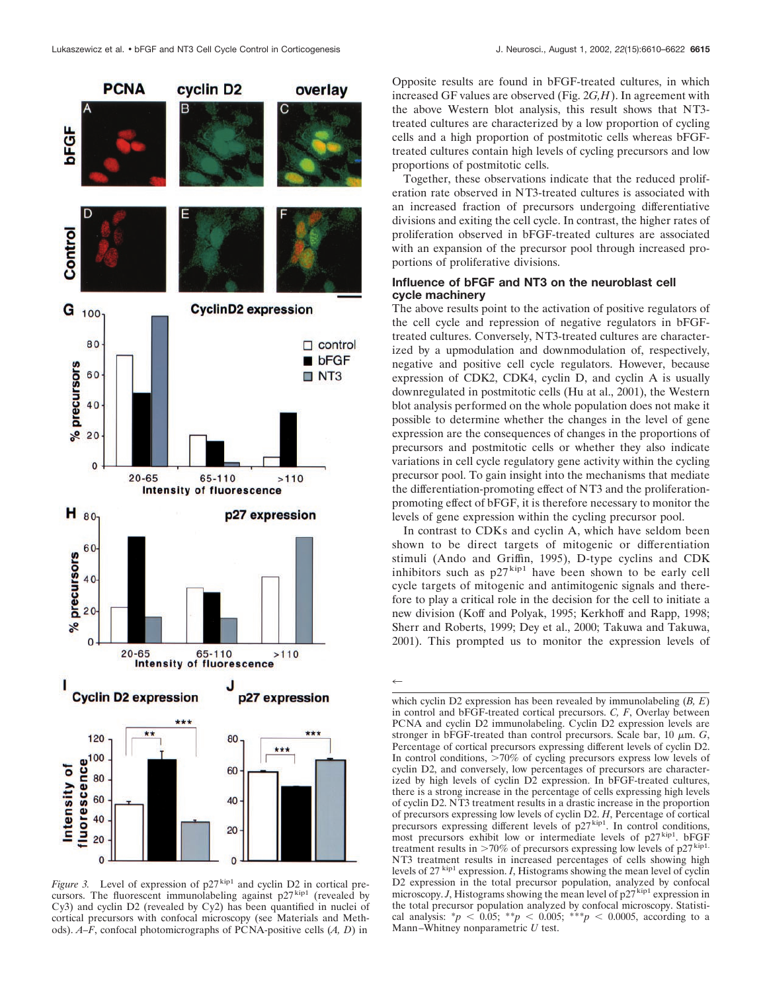

*Figure 3.* Level of expression of  $p27^{kip1}$  and cyclin D2 in cortical precursors. The fluorescent immunolabeling against  $p27<sup>kip1</sup>$  (revealed by Cy3) and cyclin D2 (revealed by Cy2) has been quantified in nuclei of cortical precursors with confocal microscopy (see Materials and Methods). *A–F*, confocal photomicrographs of PCNA-positive cells (*A, D*) in

Opposite results are found in bFGF-treated cultures, in which increased GF values are observed (Fig. 2*G,H*). In agreement with the above Western blot analysis, this result shows that NT3 treated cultures are characterized by a low proportion of cycling cells and a high proportion of postmitotic cells whereas bFGFtreated cultures contain high levels of cycling precursors and low proportions of postmitotic cells.

Together, these observations indicate that the reduced proliferation rate observed in NT3-treated cultures is associated with an increased fraction of precursors undergoing differentiative divisions and exiting the cell cycle. In contrast, the higher rates of proliferation observed in bFGF-treated cultures are associated with an expansion of the precursor pool through increased proportions of proliferative divisions.

# **Influence of bFGF and NT3 on the neuroblast cell cycle machinery**

The above results point to the activation of positive regulators of the cell cycle and repression of negative regulators in bFGFtreated cultures. Conversely, NT3-treated cultures are characterized by a upmodulation and downmodulation of, respectively, negative and positive cell cycle regulators. However, because expression of CDK2, CDK4, cyclin D, and cyclin A is usually downregulated in postmitotic cells (Hu at al., 2001), the Western blot analysis performed on the whole population does not make it possible to determine whether the changes in the level of gene expression are the consequences of changes in the proportions of precursors and postmitotic cells or whether they also indicate variations in cell cycle regulatory gene activity within the cycling precursor pool. To gain insight into the mechanisms that mediate the differentiation-promoting effect of NT3 and the proliferationpromoting effect of bFGF, it is therefore necessary to monitor the levels of gene expression within the cycling precursor pool.

In contrast to CDKs and cyclin A, which have seldom been shown to be direct targets of mitogenic or differentiation stimuli (Ando and Griffin, 1995), D-type cyclins and CDK inhibitors such as  $p27^{kip1}$  have been shown to be early cell cycle targets of mitogenic and antimitogenic signals and therefore to play a critical role in the decision for the cell to initiate a new division (Koff and Polyak, 1995; Kerkhoff and Rapp, 1998; Sherr and Roberts, 1999; Dey et al., 2000; Takuwa and Takuwa, 2001). This prompted us to monitor the expression levels of

 $\leftarrow$ 

which cyclin D2 expression has been revealed by immunolabeling (*B, E*) in control and bFGF-treated cortical precursors. *C, F*, Overlay between PCNA and cyclin D2 immunolabeling. Cyclin D2 expression levels are stronger in bFGF-treated than control precursors. Scale bar,  $10 \mu m$ . *G*, Percentage of cortical precursors expressing different levels of cyclin D2. In control conditions, >70% of cycling precursors express low levels of cyclin D2, and conversely, low percentages of precursors are characterized by high levels of cyclin D2 expression. In bFGF-treated cultures, there is a strong increase in the percentage of cells expressing high levels of cyclin D2. NT3 treatment results in a drastic increase in the proportion of precursors expressing low levels of cyclin D2. *H*, Percentage of cortical precursors expressing different levels of p27<sup>kip1</sup>. In control conditions, most precursors exhibit low or intermediate levels of p27<sup>kip1</sup>. bFGF treatment results in  $>70\%$  of precursors expressing low levels of p27<sup>kip1.</sup> NT3 treatment results in increased percentages of cells showing high levels of 27 kip1 expression. *I*, Histograms showing the mean level of cyclin D2 expression in the total precursor population, analyzed by confocal microscopy. *J*, Histograms showing the mean level of  $p27^{kip1}$  expression in the total precursor population analyzed by confocal microscopy. Statistical analysis:  $* p < 0.05$ ;  $* p < 0.005$ ;  $* * p < 0.0005$ , according to a Mann–Whitney nonparametric *U* test.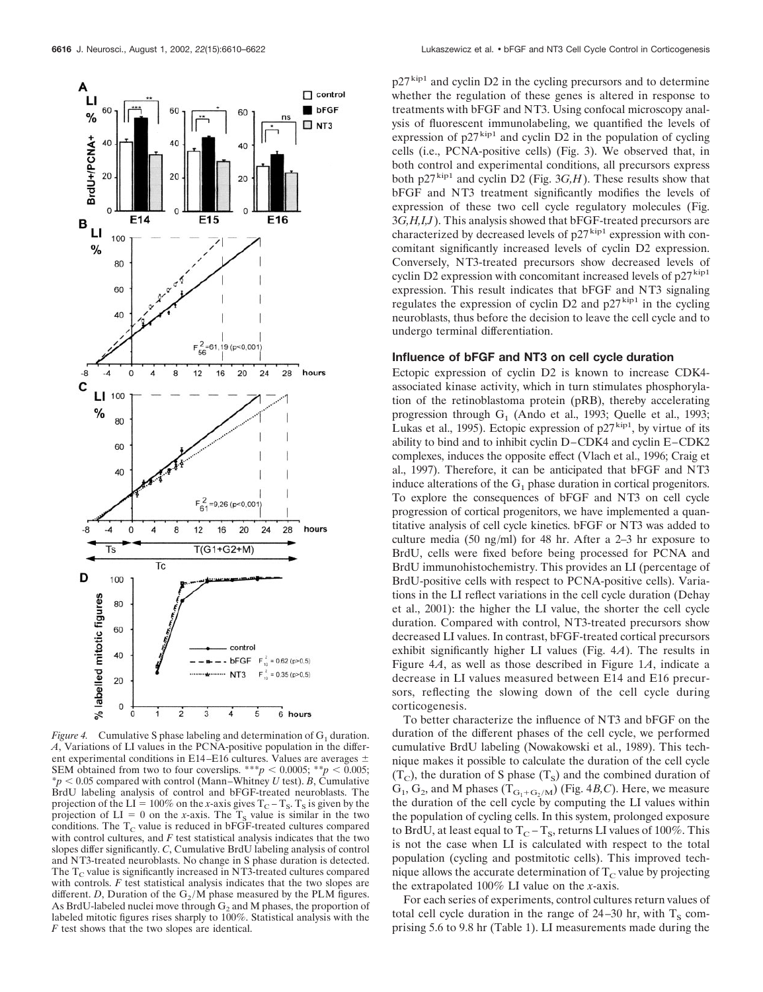

*Figure 4.* Cumulative S phase labeling and determination of  $G_1$  duration. *A*, Variations of LI values in the PCNA-positive population in the different experimental conditions in E14–E16 cultures. Values are averages  $\pm$ SEM obtained from two to four coverslips. \*\*\**p* < 0.0005; \*\**p* < 0.005;  $* p < 0.05$  compared with control (Mann–Whitney *U* test). *B*, Cumulative BrdU labeling analysis of control and bFGF-treated neuroblasts. The projection of the LI = 100% on the *x*-axis gives  $T_C - T_S$ .  $T_S$  is given by the projection of  $LI = 0$  on the *x*-axis. The  $T_s$  value is similar in the two conditions. The  $T_{\rm C}$  value is reduced in bFGF-treated cultures compared with control cultures, and *F* test statistical analysis indicates that the two slopes differ significantly. *C*, Cumulative BrdU labeling analysis of control and NT3-treated neuroblasts. No change in S phase duration is detected. The  $T_c$  value is significantly increased in NT3-treated cultures compared with controls. *F* test statistical analysis indicates that the two slopes are different. *D*, Duration of the  $G_2/M$  phase measured by the PLM figures. As BrdU-labeled nuclei move through  $G_2$  and M phases, the proportion of labeled mitotic figures rises sharply to 100%. Statistical analysis with the *F* test shows that the two slopes are identical.

 $p27<sup>kip1</sup>$  and cyclin D2 in the cycling precursors and to determine whether the regulation of these genes is altered in response to treatments with bFGF and NT3. Using confocal microscopy analysis of fluorescent immunolabeling, we quantified the levels of expression of  $p27^{kip1}$  and cyclin D2 in the population of cycling cells (i.e., PCNA-positive cells) (Fig. 3). We observed that, in both control and experimental conditions, all precursors express both  $p27^{kip1}$  and cyclin D2 (Fig. 3*G,H*). These results show that bFGF and NT3 treatment significantly modifies the levels of expression of these two cell cycle regulatory molecules (Fig. 3*G,H,I,J*). This analysis showed that bFGF-treated precursors are characterized by decreased levels of  $p27<sup>kip1</sup>$  expression with concomitant significantly increased levels of cyclin D2 expression. Conversely, NT3-treated precursors show decreased levels of cyclin D2 expression with concomitant increased levels of  $p27^{\text{kip-1}}$ expression. This result indicates that bFGF and NT3 signaling regulates the expression of cyclin  $D2$  and  $p27<sup>kip1</sup>$  in the cycling neuroblasts, thus before the decision to leave the cell cycle and to undergo terminal differentiation.

# **Influence of bFGF and NT3 on cell cycle duration**

Ectopic expression of cyclin D2 is known to increase CDK4 associated kinase activity, which in turn stimulates phosphorylation of the retinoblastoma protein (pRB), thereby accelerating progression through  $G_1$  (Ando et al., 1993; Quelle et al., 1993; Lukas et al., 1995). Ectopic expression of  $p27<sup>kip1</sup>$ , by virtue of its ability to bind and to inhibit cyclin D–CDK4 and cyclin E–CDK2 complexes, induces the opposite effect (Vlach et al., 1996; Craig et al., 1997). Therefore, it can be anticipated that bFGF and NT3 induce alterations of the  $G_1$  phase duration in cortical progenitors. To explore the consequences of bFGF and NT3 on cell cycle progression of cortical progenitors, we have implemented a quantitative analysis of cell cycle kinetics. bFGF or NT3 was added to culture media (50 ng/ml) for 48 hr. After a 2–3 hr exposure to BrdU, cells were fixed before being processed for PCNA and BrdU immunohistochemistry. This provides an LI (percentage of BrdU-positive cells with respect to PCNA-positive cells). Variations in the LI reflect variations in the cell cycle duration (Dehay et al., 2001): the higher the LI value, the shorter the cell cycle duration. Compared with control, NT3-treated precursors show decreased LI values. In contrast, bFGF-treated cortical precursors exhibit significantly higher LI values (Fig. 4*A*). The results in Figure 4*A*, as well as those described in Figure 1*A*, indicate a decrease in LI values measured between E14 and E16 precursors, reflecting the slowing down of the cell cycle during corticogenesis.

To better characterize the influence of NT3 and bFGF on the duration of the different phases of the cell cycle, we performed cumulative BrdU labeling (Nowakowski et al., 1989). This technique makes it possible to calculate the duration of the cell cycle  $(T<sub>C</sub>)$ , the duration of S phase  $(T<sub>S</sub>)$  and the combined duration of  $G_1, G_2$ , and M phases  $(T_{G_1 + G_2/M})$  (Fig. 4*B,C*). Here, we measure the duration of the cell cycle by computing the LI values within the population of cycling cells. In this system, prolonged exposure to BrdU, at least equal to  $T_C - T_S$ , returns LI values of 100%. This is not the case when LI is calculated with respect to the total population (cycling and postmitotic cells). This improved technique allows the accurate determination of  $T_c$  value by projecting the extrapolated 100% LI value on the *x*-axis.

For each series of experiments, control cultures return values of total cell cycle duration in the range of  $24-30$  hr, with  $T_s$  comprising 5.6 to 9.8 hr (Table 1). LI measurements made during the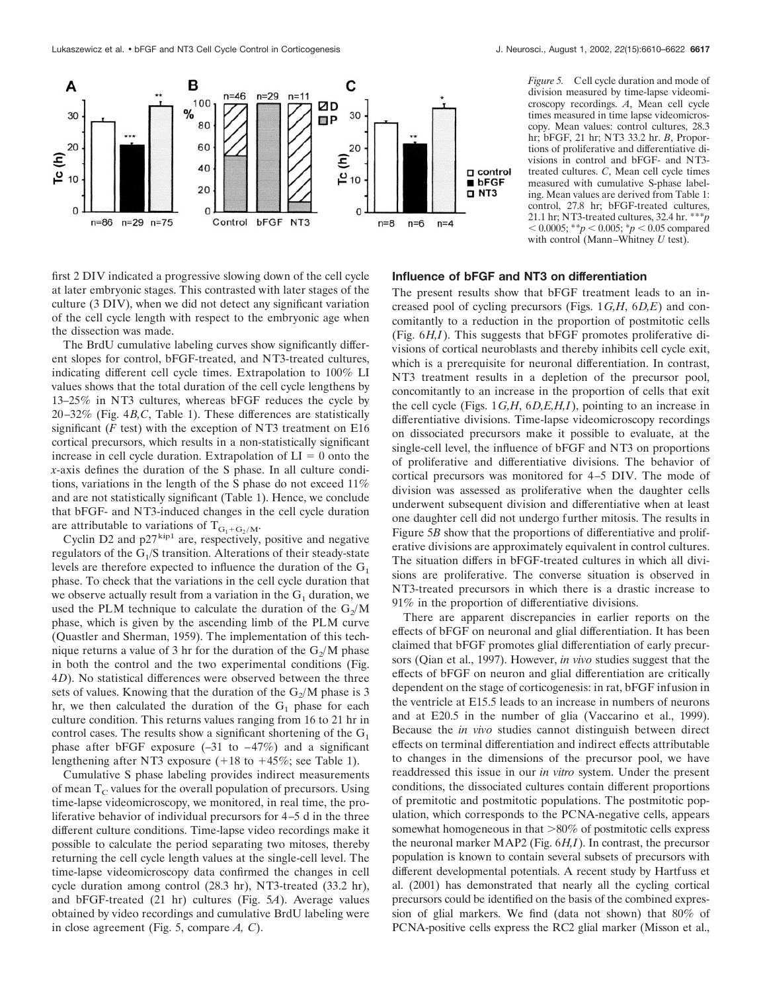

*Figure 5.* Cell cycle duration and mode of division measured by time-lapse videomicroscopy recordings. *A*, Mean cell cycle times measured in time lapse videomicroscopy. Mean values: control cultures, 28.3 hr; bFGF, 21 hr; NT3 33.2 hr. *B*, Proportions of proliferative and differentiative divisions in control and bFGF- and NT3 treated cultures. *C*, Mean cell cycle times measured with cumulative S-phase labeling. Mean values are derived from Table 1: control, 27.8 hr; bFGF-treated cultures, 21.1 hr; NT3-treated cultures, 32.4 hr. \*\*\**p*  $0.0005$ ; \*\**p*  $0.005$ ; \**p*  $0.05$  compared with control (Mann–Whitney *U* test).

first 2 DIV indicated a progressive slowing down of the cell cycle at later embryonic stages. This contrasted with later stages of the culture (3 DIV), when we did not detect any significant variation of the cell cycle length with respect to the embryonic age when the dissection was made.

The BrdU cumulative labeling curves show significantly different slopes for control, bFGF-treated, and NT3-treated cultures, indicating different cell cycle times. Extrapolation to 100% LI values shows that the total duration of the cell cycle lengthens by 13–25% in NT3 cultures, whereas bFGF reduces the cycle by 20–32% (Fig. 4*B,C*, Table 1). These differences are statistically significant  $(F \text{ test})$  with the exception of NT3 treatment on E16 cortical precursors, which results in a non-statistically significant increase in cell cycle duration. Extrapolation of  $LI = 0$  onto the *x*-axis defines the duration of the S phase. In all culture conditions, variations in the length of the S phase do not exceed 11% and are not statistically significant (Table 1). Hence, we conclude that bFGF- and NT3-induced changes in the cell cycle duration are attributable to variations of  $T_{G_1+G_2/M}$ .

Cyclin D2 and  $p27^{kip1}$  are, respectively, positive and negative regulators of the  $G_1/S$  transition. Alterations of their steady-state levels are therefore expected to influence the duration of the  $G_1$ phase. To check that the variations in the cell cycle duration that we observe actually result from a variation in the  $G_1$  duration, we used the PLM technique to calculate the duration of the  $G_2/M$ phase, which is given by the ascending limb of the PLM curve (Quastler and Sherman, 1959). The implementation of this technique returns a value of 3 hr for the duration of the  $G_2/M$  phase in both the control and the two experimental conditions (Fig. 4*D*). No statistical differences were observed between the three sets of values. Knowing that the duration of the  $G_2/M$  phase is 3 hr, we then calculated the duration of the  $G_1$  phase for each culture condition. This returns values ranging from 16 to 21 hr in control cases. The results show a significant shortening of the  $G_1$ phase after bFGF exposure  $(-31 \text{ to } -47\%)$  and a significant lengthening after NT3 exposure  $(+18 \text{ to } +45\%)$ ; see Table 1).

Cumulative S phase labeling provides indirect measurements of mean  $T_c$  values for the overall population of precursors. Using time-lapse videomicroscopy, we monitored, in real time, the proliferative behavior of individual precursors for 4–5 d in the three different culture conditions. Time-lapse video recordings make it possible to calculate the period separating two mitoses, thereby returning the cell cycle length values at the single-cell level. The time-lapse videomicroscopy data confirmed the changes in cell cycle duration among control (28.3 hr), NT3-treated (33.2 hr), and bFGF-treated (21 hr) cultures (Fig. 5*A*). Average values obtained by video recordings and cumulative BrdU labeling were in close agreement (Fig. 5, compare *A, C*).

# **Influence of bFGF and NT3 on differentiation**

The present results show that bFGF treatment leads to an increased pool of cycling precursors (Figs. 1*G,H*, 6*D,E*) and concomitantly to a reduction in the proportion of postmitotic cells (Fig. 6*H,I*). This suggests that bFGF promotes proliferative divisions of cortical neuroblasts and thereby inhibits cell cycle exit, which is a prerequisite for neuronal differentiation. In contrast, NT3 treatment results in a depletion of the precursor pool, concomitantly to an increase in the proportion of cells that exit the cell cycle (Figs. 1*G,H*, 6*D,E,H,I*), pointing to an increase in differentiative divisions. Time-lapse videomicroscopy recordings on dissociated precursors make it possible to evaluate, at the single-cell level, the influence of bFGF and NT3 on proportions of proliferative and differentiative divisions. The behavior of cortical precursors was monitored for 4–5 DIV. The mode of division was assessed as proliferative when the daughter cells underwent subsequent division and differentiative when at least one daughter cell did not undergo further mitosis. The results in Figure 5*B* show that the proportions of differentiative and proliferative divisions are approximately equivalent in control cultures. The situation differs in bFGF-treated cultures in which all divisions are proliferative. The converse situation is observed in NT3-treated precursors in which there is a drastic increase to 91% in the proportion of differentiative divisions.

There are apparent discrepancies in earlier reports on the effects of bFGF on neuronal and glial differentiation. It has been claimed that bFGF promotes glial differentiation of early precursors (Qian et al., 1997). However, *in vivo* studies suggest that the effects of bFGF on neuron and glial differentiation are critically dependent on the stage of corticogenesis: in rat, bFGF infusion in the ventricle at E15.5 leads to an increase in numbers of neurons and at E20.5 in the number of glia (Vaccarino et al., 1999). Because the *in vivo* studies cannot distinguish between direct effects on terminal differentiation and indirect effects attributable to changes in the dimensions of the precursor pool, we have readdressed this issue in our *in vitro* system. Under the present conditions, the dissociated cultures contain different proportions of premitotic and postmitotic populations. The postmitotic population, which corresponds to the PCNA-negative cells, appears somewhat homogeneous in that  $>80\%$  of postmitotic cells express the neuronal marker MAP2 (Fig. 6*H,I*). In contrast, the precursor population is known to contain several subsets of precursors with different developmental potentials. A recent study by Hartfuss et al. (2001) has demonstrated that nearly all the cycling cortical precursors could be identified on the basis of the combined expression of glial markers. We find (data not shown) that 80% of PCNA-positive cells express the RC2 glial marker (Misson et al.,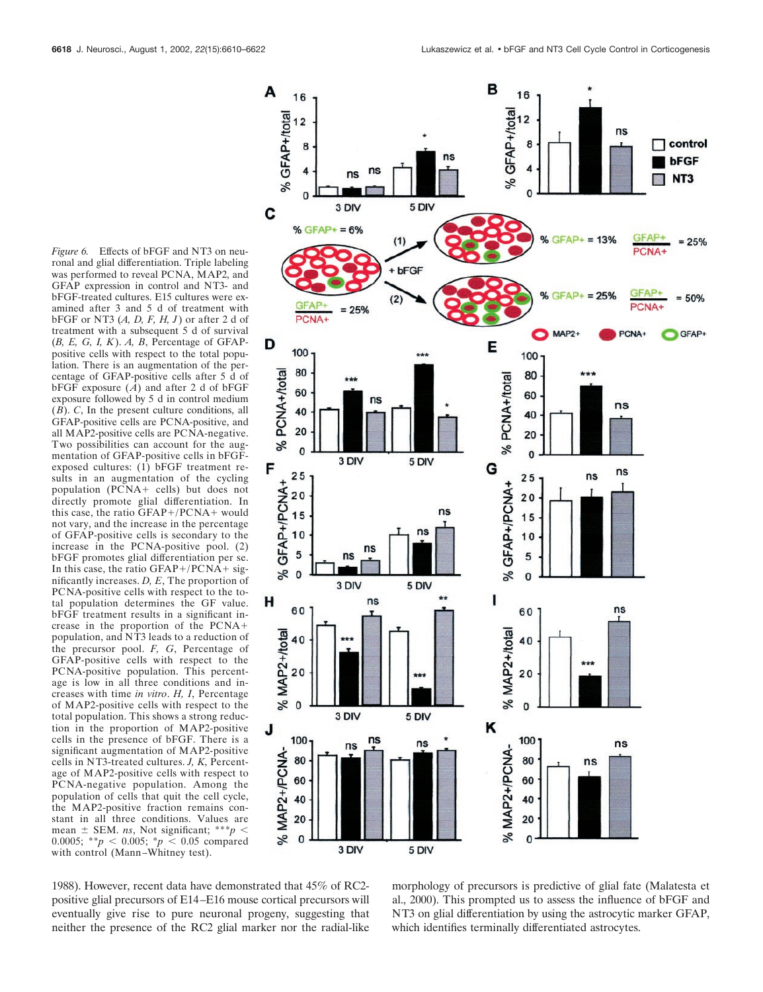*Figure 6.* Effects of bFGF and NT3 on neuronal and glial differentiation. Triple labeling was performed to reveal PCNA, MAP2, and GFAP expression in control and NT3- and bFGF-treated cultures. E15 cultures were examined after 3 and 5 d of treatment with bFGF or NT3 (*A, D, F, H, J*) or after 2 d of treatment with a subsequent 5 d of survival (*B, E, G, I, K*). *A, B*, Percentage of GFAPpositive cells with respect to the total population. There is an augmentation of the percentage of GFAP-positive cells after 5 d of bFGF exposure  $(A)$  and after 2 d of bFGF exposure followed by 5 d in control medium  $(\overrightarrow{B})$ . *C*, In the present culture conditions, all GFAP-positive cells are PCNA-positive, and all MAP2-positive cells are PCNA-negative. Two possibilities can account for the augmentation of GFAP-positive cells in bFGFexposed cultures: (1) bFGF treatment results in an augmentation of the cycling population (PCNA+ cells) but does not directly promote glial differentiation. In this case, the ratio  $GFAP+/PCNA +$  would not vary, and the increase in the percentage of GFAP-positive cells is secondary to the increase in the PCNA-positive pool. (2) bFGF promotes glial differentiation per se. In this case, the ratio GFAP+/PCNA+ significantly increases. *D, E*, The proportion of PCNA-positive cells with respect to the total population determines the GF value. bFGF treatment results in a significant increase in the proportion of the PCNA population, and NT3 leads to a reduction of the precursor pool. *F, G*, Percentage of GFAP-positive cells with respect to the PCNA-positive population. This percentage is low in all three conditions and increases with time *in vitro*. *H, I*, Percentage of MAP2-positive cells with respect to the total population. This shows a strong reduction in the proportion of MAP2-positive cells in the presence of bFGF. There is a significant augmentation of MAP2-positive cells in NT3-treated cultures. *J, K*, Percentage of MAP2-positive cells with respect to PCNA-negative population. Among the population of cells that quit the cell cycle, the MAP2-positive fraction remains constant in all three conditions. Values are mean  $\pm$  SEM. *ns*, Not significant; \*\*\**p* < 0.0005; \*\**p*  $\leq$  0.005; \**p*  $\leq$  0.05 compared with control (Mann–Whitney test).



1988). However, recent data have demonstrated that 45% of RC2 positive glial precursors of E14–E16 mouse cortical precursors will eventually give rise to pure neuronal progeny, suggesting that neither the presence of the RC2 glial marker nor the radial-like

morphology of precursors is predictive of glial fate (Malatesta et al., 2000). This prompted us to assess the influence of bFGF and NT3 on glial differentiation by using the astrocytic marker GFAP, which identifies terminally differentiated astrocytes.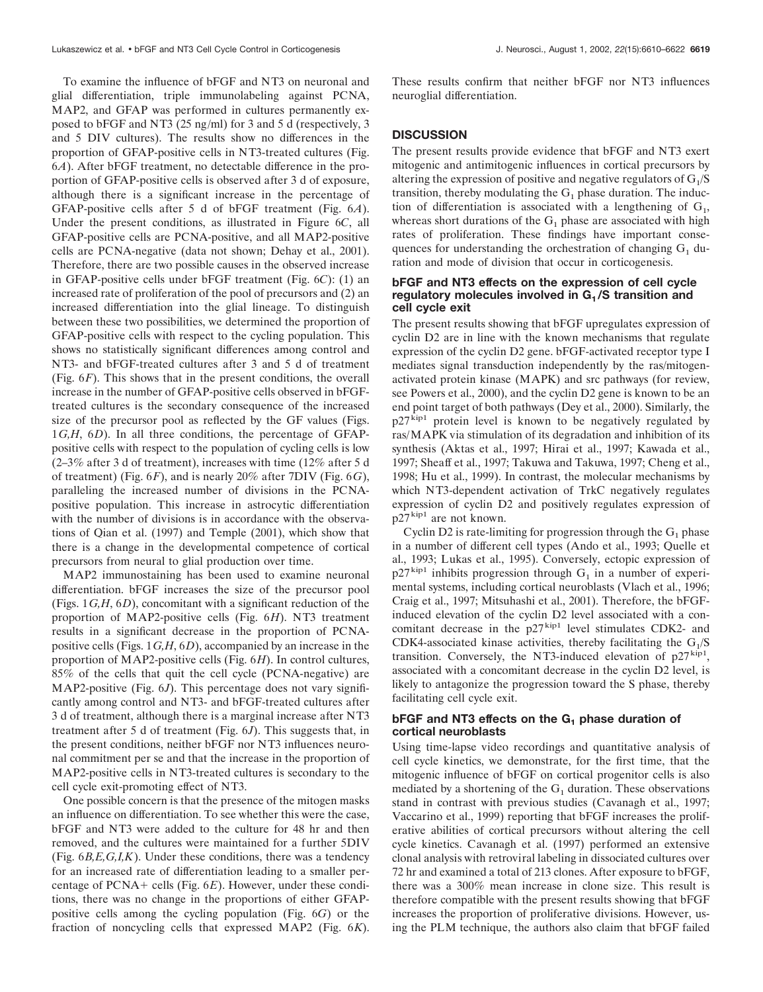To examine the influence of bFGF and NT3 on neuronal and glial differentiation, triple immunolabeling against PCNA, MAP2, and GFAP was performed in cultures permanently exposed to bFGF and NT3 (25 ng/ml) for 3 and 5 d (respectively, 3 and 5 DIV cultures). The results show no differences in the proportion of GFAP-positive cells in NT3-treated cultures (Fig. 6*A*). After bFGF treatment, no detectable difference in the proportion of GFAP-positive cells is observed after 3 d of exposure, although there is a significant increase in the percentage of GFAP-positive cells after 5 d of bFGF treatment (Fig. 6*A*). Under the present conditions, as illustrated in Figure 6*C*, all GFAP-positive cells are PCNA-positive, and all MAP2-positive cells are PCNA-negative (data not shown; Dehay et al., 2001). Therefore, there are two possible causes in the observed increase in GFAP-positive cells under bFGF treatment (Fig. 6*C*): (1) an increased rate of proliferation of the pool of precursors and (2) an increased differentiation into the glial lineage. To distinguish between these two possibilities, we determined the proportion of GFAP-positive cells with respect to the cycling population. This shows no statistically significant differences among control and NT3- and bFGF-treated cultures after 3 and 5 d of treatment (Fig. 6*F*). This shows that in the present conditions, the overall increase in the number of GFAP-positive cells observed in bFGFtreated cultures is the secondary consequence of the increased size of the precursor pool as reflected by the GF values (Figs. 1*G,H*, 6*D*). In all three conditions, the percentage of GFAPpositive cells with respect to the population of cycling cells is low (2–3% after 3 d of treatment), increases with time (12% after 5 d of treatment) (Fig. 6*F*), and is nearly 20% after 7DIV (Fig. 6*G*), paralleling the increased number of divisions in the PCNApositive population. This increase in astrocytic differentiation with the number of divisions is in accordance with the observations of Qian et al. (1997) and Temple (2001), which show that there is a change in the developmental competence of cortical precursors from neural to glial production over time.

MAP2 immunostaining has been used to examine neuronal differentiation. bFGF increases the size of the precursor pool (Figs. 1*G,H*, 6*D*), concomitant with a significant reduction of the proportion of MAP2-positive cells (Fig. 6*H*). NT3 treatment results in a significant decrease in the proportion of PCNApositive cells (Figs. 1*G,H*, 6*D*), accompanied by an increase in the proportion of MAP2-positive cells (Fig. 6*H*). In control cultures, 85% of the cells that quit the cell cycle (PCNA-negative) are MAP2-positive (Fig. 6*J*). This percentage does not vary significantly among control and NT3- and bFGF-treated cultures after 3 d of treatment, although there is a marginal increase after NT3 treatment after 5 d of treatment (Fig. 6*J*). This suggests that, in the present conditions, neither bFGF nor NT3 influences neuronal commitment per se and that the increase in the proportion of MAP2-positive cells in NT3-treated cultures is secondary to the cell cycle exit-promoting effect of NT3.

One possible concern is that the presence of the mitogen masks an influence on differentiation. To see whether this were the case, bFGF and NT3 were added to the culture for 48 hr and then removed, and the cultures were maintained for a further 5DIV (Fig. 6*B,E,G,I,K*). Under these conditions, there was a tendency for an increased rate of differentiation leading to a smaller percentage of PCNA+ cells (Fig. 6*E*). However, under these conditions, there was no change in the proportions of either GFAPpositive cells among the cycling population (Fig. 6*G*) or the fraction of noncycling cells that expressed MAP2 (Fig. 6*K*).

These results confirm that neither bFGF nor NT3 influences neuroglial differentiation.

#### **DISCUSSION**

The present results provide evidence that bFGF and NT3 exert mitogenic and antimitogenic influences in cortical precursors by altering the expression of positive and negative regulators of  $G<sub>1</sub>/S$ transition, thereby modulating the  $G_1$  phase duration. The induction of differentiation is associated with a lengthening of  $G<sub>1</sub>$ , whereas short durations of the  $G_1$  phase are associated with high rates of proliferation. These findings have important consequences for understanding the orchestration of changing  $G_1$  duration and mode of division that occur in corticogenesis.

# **bFGF and NT3 effects on the expression of cell cycle** regulatory molecules involved in G<sub>1</sub>/S transition and **cell cycle exit**

The present results showing that bFGF upregulates expression of cyclin D2 are in line with the known mechanisms that regulate expression of the cyclin D2 gene. bFGF-activated receptor type I mediates signal transduction independently by the ras/mitogenactivated protein kinase (MAPK) and src pathways (for review, see Powers et al., 2000), and the cyclin D2 gene is known to be an end point target of both pathways (Dey et al., 2000). Similarly, the p27kip1 protein level is known to be negatively regulated by ras/MAPK via stimulation of its degradation and inhibition of its synthesis (Aktas et al., 1997; Hirai et al., 1997; Kawada et al., 1997; Sheaff et al., 1997; Takuwa and Takuwa, 1997; Cheng et al., 1998; Hu et al., 1999). In contrast, the molecular mechanisms by which NT3-dependent activation of TrkC negatively regulates expression of cyclin D2 and positively regulates expression of p27 kip1 are not known.

Cyclin D2 is rate-limiting for progression through the  $G_1$  phase in a number of different cell types (Ando et al., 1993; Quelle et al., 1993; Lukas et al., 1995). Conversely, ectopic expression of  $p27^{kip1}$  inhibits progression through  $G_1$  in a number of experimental systems, including cortical neuroblasts (Vlach et al., 1996; Craig et al., 1997; Mitsuhashi et al., 2001). Therefore, the bFGFinduced elevation of the cyclin D2 level associated with a concomitant decrease in the  $p27$ <sup>kip1</sup> level stimulates CDK2- and CDK4-associated kinase activities, thereby facilitating the  $G<sub>1</sub>/S$ transition. Conversely, the NT3-induced elevation of  $p27<sup>kip1</sup>$ , associated with a concomitant decrease in the cyclin D2 level, is likely to antagonize the progression toward the S phase, thereby facilitating cell cycle exit.

# **bFGF and NT3 effects on the G<sub>1</sub> phase duration of cortical neuroblasts**

Using time-lapse video recordings and quantitative analysis of cell cycle kinetics, we demonstrate, for the first time, that the mitogenic influence of bFGF on cortical progenitor cells is also mediated by a shortening of the  $G_1$  duration. These observations stand in contrast with previous studies (Cavanagh et al., 1997; Vaccarino et al., 1999) reporting that bFGF increases the proliferative abilities of cortical precursors without altering the cell cycle kinetics. Cavanagh et al. (1997) performed an extensive clonal analysis with retroviral labeling in dissociated cultures over 72 hr and examined a total of 213 clones. After exposure to bFGF, there was a 300% mean increase in clone size. This result is therefore compatible with the present results showing that bFGF increases the proportion of proliferative divisions. However, using the PLM technique, the authors also claim that bFGF failed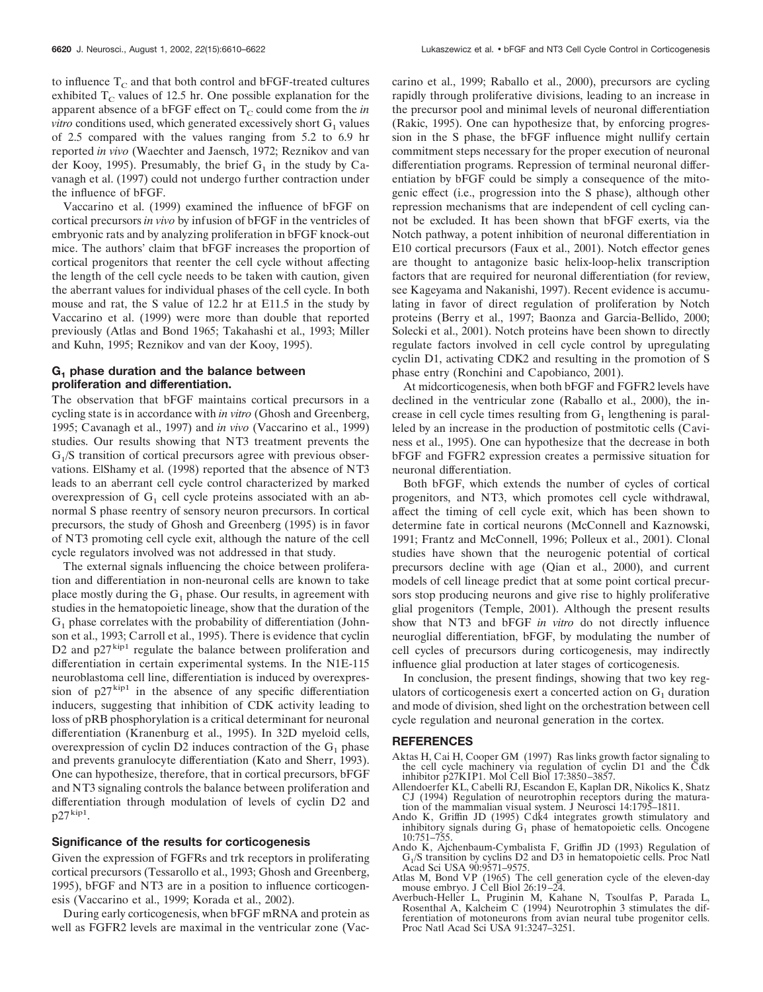to influence  $T_c$  and that both control and bFGF-treated cultures exhibited  $T_c$  values of 12.5 hr. One possible explanation for the apparent absence of a bFGF effect on  $T_c$  could come from the *in vitro* conditions used, which generated excessively short  $G_1$  values of 2.5 compared with the values ranging from 5.2 to 6.9 hr reported *in vivo* (Waechter and Jaensch, 1972; Reznikov and van der Kooy, 1995). Presumably, the brief  $G_1$  in the study by Cavanagh et al. (1997) could not undergo further contraction under the influence of bFGF.

Vaccarino et al. (1999) examined the influence of bFGF on cortical precursors *in vivo* by infusion of bFGF in the ventricles of embryonic rats and by analyzing proliferation in bFGF knock-out mice. The authors' claim that bFGF increases the proportion of cortical progenitors that reenter the cell cycle without affecting the length of the cell cycle needs to be taken with caution, given the aberrant values for individual phases of the cell cycle. In both mouse and rat, the S value of 12.2 hr at E11.5 in the study by Vaccarino et al. (1999) were more than double that reported previously (Atlas and Bond 1965; Takahashi et al., 1993; Miller and Kuhn, 1995; Reznikov and van der Kooy, 1995).

# **G1 phase duration and the balance between proliferation and differentiation.**

The observation that bFGF maintains cortical precursors in a cycling state is in accordance with *in vitro* (Ghosh and Greenberg, 1995; Cavanagh et al., 1997) and *in vivo* (Vaccarino et al., 1999) studies. Our results showing that NT3 treatment prevents the  $G<sub>1</sub>/S$  transition of cortical precursors agree with previous observations. ElShamy et al. (1998) reported that the absence of NT3 leads to an aberrant cell cycle control characterized by marked overexpression of  $G_1$  cell cycle proteins associated with an abnormal S phase reentry of sensory neuron precursors. In cortical precursors, the study of Ghosh and Greenberg (1995) is in favor of NT3 promoting cell cycle exit, although the nature of the cell cycle regulators involved was not addressed in that study.

The external signals influencing the choice between proliferation and differentiation in non-neuronal cells are known to take place mostly during the  $G_1$  phase. Our results, in agreement with studies in the hematopoietic lineage, show that the duration of the  $G_1$  phase correlates with the probability of differentiation (Johnson et al., 1993; Carroll et al., 1995). There is evidence that cyclin D2 and  $p27^{kip1}$  regulate the balance between proliferation and differentiation in certain experimental systems. In the N1E-115 neuroblastoma cell line, differentiation is induced by overexpression of  $p27^{kip1}$  in the absence of any specific differentiation inducers, suggesting that inhibition of CDK activity leading to loss of pRB phosphorylation is a critical determinant for neuronal differentiation (Kranenburg et al., 1995). In 32D myeloid cells, overexpression of cyclin D2 induces contraction of the  $G_1$  phase and prevents granulocyte differentiation (Kato and Sherr, 1993). One can hypothesize, therefore, that in cortical precursors, bFGF and NT3 signaling controls the balance between proliferation and differentiation through modulation of levels of cyclin D2 and  $p27^{kip1}$ .

#### **Significance of the results for corticogenesis**

Given the expression of FGFRs and trk receptors in proliferating cortical precursors (Tessarollo et al., 1993; Ghosh and Greenberg, 1995), bFGF and NT3 are in a position to influence corticogenesis (Vaccarino et al., 1999; Korada et al., 2002).

During early corticogenesis, when bFGF mRNA and protein as well as FGFR2 levels are maximal in the ventricular zone (Vaccarino et al., 1999; Raballo et al., 2000), precursors are cycling rapidly through proliferative divisions, leading to an increase in the precursor pool and minimal levels of neuronal differentiation (Rakic, 1995). One can hypothesize that, by enforcing progression in the S phase, the bFGF influence might nullify certain commitment steps necessary for the proper execution of neuronal differentiation programs. Repression of terminal neuronal differentiation by bFGF could be simply a consequence of the mitogenic effect (i.e., progression into the S phase), although other repression mechanisms that are independent of cell cycling cannot be excluded. It has been shown that bFGF exerts, via the Notch pathway, a potent inhibition of neuronal differentiation in E10 cortical precursors (Faux et al., 2001). Notch effector genes are thought to antagonize basic helix-loop-helix transcription factors that are required for neuronal differentiation (for review, see Kageyama and Nakanishi, 1997). Recent evidence is accumulating in favor of direct regulation of proliferation by Notch proteins (Berry et al., 1997; Baonza and Garcia-Bellido, 2000; Solecki et al., 2001). Notch proteins have been shown to directly regulate factors involved in cell cycle control by upregulating cyclin D1, activating CDK2 and resulting in the promotion of S phase entry (Ronchini and Capobianco, 2001).

At midcorticogenesis, when both bFGF and FGFR2 levels have declined in the ventricular zone (Raballo et al., 2000), the increase in cell cycle times resulting from  $G_1$  lengthening is paralleled by an increase in the production of postmitotic cells (Caviness et al., 1995). One can hypothesize that the decrease in both bFGF and FGFR2 expression creates a permissive situation for neuronal differentiation.

Both bFGF, which extends the number of cycles of cortical progenitors, and NT3, which promotes cell cycle withdrawal, affect the timing of cell cycle exit, which has been shown to determine fate in cortical neurons (McConnell and Kaznowski, 1991; Frantz and McConnell, 1996; Polleux et al., 2001). Clonal studies have shown that the neurogenic potential of cortical precursors decline with age (Qian et al., 2000), and current models of cell lineage predict that at some point cortical precursors stop producing neurons and give rise to highly proliferative glial progenitors (Temple, 2001). Although the present results show that NT3 and bFGF *in vitro* do not directly influence neuroglial differentiation, bFGF, by modulating the number of cell cycles of precursors during corticogenesis, may indirectly influence glial production at later stages of corticogenesis.

In conclusion, the present findings, showing that two key regulators of corticogenesis exert a concerted action on  $G_1$  duration and mode of division, shed light on the orchestration between cell cycle regulation and neuronal generation in the cortex.

# **REFERENCES**

- Aktas H, Cai H, Cooper GM (1997) Ras links growth factor signaling to the cell cycle machinery via regulation of cyclin D1 and the Cdk inhibitor p27KIP1. Mol Cell Biol 17:3850–3857.
- Allendoerfer KL, Cabelli RJ, Escandon E, Kaplan DR, Nikolics K, Shatz CJ (1994) Regulation of neurotrophin receptors during the maturation of the mammalian visual system. J Neurosci 14:1795–1811.
- Ando K, Griffin JD (1995) Cdk4 integrates growth stimulatory and inhibitory signals during  $G_1$  phase of hematopoietic cells. Oncogene 10:751–755.
- Ando K, Ajchenbaum-Cymbalista F, Griffin JD (1993) Regulation of  $G<sub>1</sub>/S$  transition by cyclins  $D2$  and  $D3$  in hematopoietic cells. Proc Natl Acad Sci USA 90:9571–9575.
- Atlas M, Bond VP (1965) The cell generation cycle of the eleven-day mouse embryo. J Cell Biol 26:19–24.
- Averbuch-Heller L, Pruginin M, Kahane N, Tsoulfas P, Parada L, Rosenthal A, Kalcheim C (1994) Neurotrophin 3 stimulates the differentiation of motoneurons from avian neural tube progenitor cells. Proc Natl Acad Sci USA 91:3247–3251.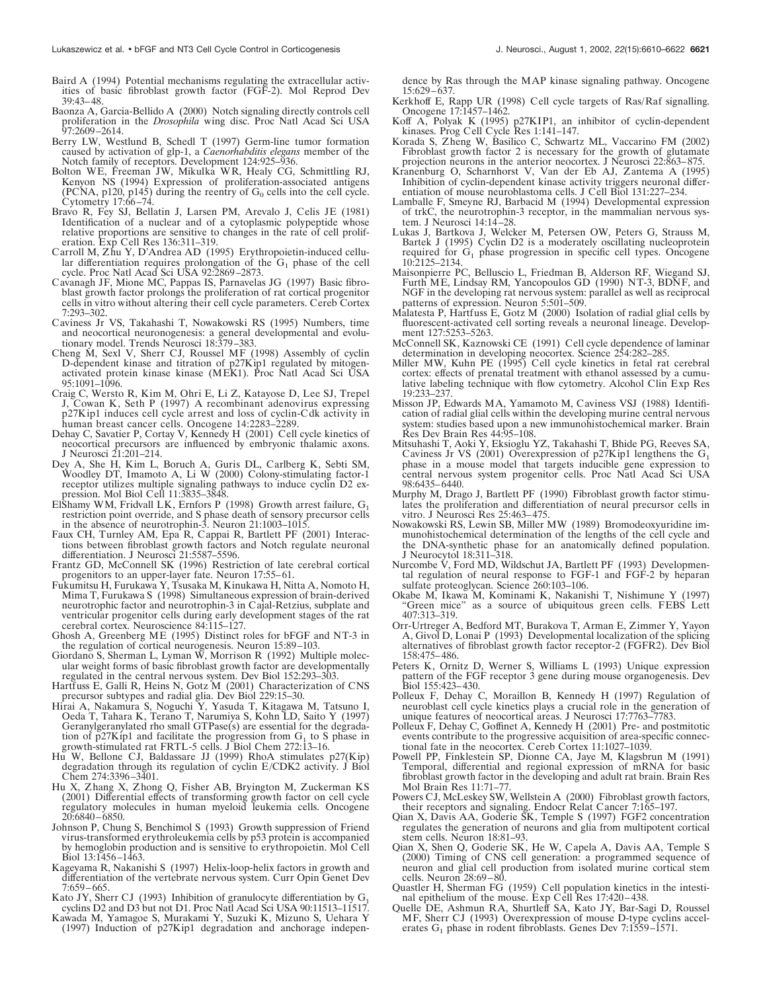- Baird A (1994) Potential mechanisms regulating the extracellular activities of basic fibroblast growth factor (FGF-2). Mol Reprod Dev 39:43–48.
- Baonza A, Garcia-Bellido A (2000) Notch signaling directly controls cell proliferation in the *Drosophila* wing disc. Proc Natl Acad Sci USA 97:2609–2614.
- Berry LW, Westlund B, Schedl T (1997) Germ-line tumor formation caused by activation of glp-1, a *Caenorhabditis elegans* member of the Notch family of receptors. Development 124:925–936.
- Bolton WE, Freeman JW, Mikulka WR, Healy CG, Schmittling RJ, Kenyon NS (1994) Expression of proliferation-associated antigens (PCNA, p120, p145) during the reentry of  $G_0$  cells into the cell cycle.<br>Cytometry 17:66–74.
- Bravo R, Fey SJ, Bellatin J, Larsen PM, Arevalo J, Celis JE (1981) Identification of a nuclear and of a cytoplasmic polypeptide whose relative proportions are sensitive to changes in the rate of cell proliferation. Exp Cell Res 136:311–319.
- Carroll M, Zhu Y, D'Andrea AD (1995) Erythropoietin-induced cellular differentiation requires prolongation of the  $G_1$  phase of the cell cycle. Proc Natl Acad Sci USA 92:2869–2873.
- Cavanagh JF, Mione MC, Pappas IS, Parnavelas JG (1997) Basic fibroblast growth factor prolongs the proliferation of rat cortical progenitor cells in vitro without altering their cell cycle parameters. Cereb Cortex 7:293–302.
- Caviness Jr VS, Takahashi T, Nowakowski RS (1995) Numbers, time and neocortical neuronogenesis: a general developmental and evolu-tionary model. Trends Neurosci 18:379–383.
- Cheng M, Sexl V, Sherr CJ, Roussel MF (1998) Assembly of cyclin D-dependent kinase and titration of p27Kip1 regulated by mitogenactivated protein kinase kinase (MEK1). Proc Natl Acad Sci USA 95:1091–1096.
- Craig C, Wersto R, Kim M, Ohri E, Li Z, Katayose D, Lee SJ, Trepel J, Cowan K, Seth P (1997) A recombinant adenovirus expressing p27Kip1 induces cell cycle arrest and loss of cyclin-Cdk activity in human breast cancer cells. Oncogene 14:2283–2289.
- Dehay C, Savatier P, Cortay V, Kennedy H (2001) Cell cycle kinetics of neocortical precursors are influenced by embryonic thalamic axons. J Neurosci 21:201–214.
- Dey A, She H, Kim L, Boruch A, Guris DL, Carlberg K, Sebti SM, Woodley DT, Imamoto A, Li W (2000) Colony-stimulating factor-1 receptor utilizes multiple signaling pathways to induce cyclin D2 expression. Mol Biol Cell 11:3835–3848.
- ElShamy WM, Fridvall LK, Ernfors P (1998) Growth arrest failure, G1 restriction point override, and S phase death of sensory precursor cells in the absence of neurotrophin-3. Neuron 21:1003-1015
- Faux CH, Turnley AM, Epa R, Cappai R, Bartlett PF (2001) Interactions between fibroblast growth factors and Notch regulate neuronal differentiation. J Neurosci 21:5587–5596.
- Frantz GD, McConnell SK (1996) Restriction of late cerebral cortical progenitors to an upper-layer fate. Neuron 17:55–61.
- Fukumitsu H, Furukawa Y, Tsusaka M, Kinukawa H, Nitta A, Nomoto H, Mima T, Furukawa S (1998) Simultaneous expression of brain-derived neurotrophic factor and neurotrophin-3 in Cajal-Retzius, subplate and ventricular progenitor cells during early development stages of the rat cerebral cortex. Neuroscience 84:115–127.
- Ghosh A, Greenberg ME (1995) Distinct roles for bFGF and NT-3 in the regulation of cortical neurogenesis. Neuron 15:89–103.
- Giordano S, Sherman L, Lyman W, Morrison R (1992) Multiple molecular weight forms of basic fibroblast growth factor are developmentally regulated in the central nervous system. Dev Biol 152:293–303.
- Hartfuss E, Galli R, Heins N, Gotz M (2001) Characterization of CNS precursor subtypes and radial glia. Dev Biol 229:15–30.
- Hirai A, Nakamura S, Noguchi Y, Yasuda T, Kitagawa M, Tatsuno I, Oeda T, Tahara K, Terano T, Narumiya S, Kohn LD, Saito Y (1997) Geranylgeranylated rho small GTPase(s) are essential for the degradation of  $\bar{p}27Kip1$  and facilitate the progression from  $G_1$  to S phase in growth-stimulated rat FRTL-5 cells. J Biol Chem 272:13–16.
- Hu W, Bellone CJ, Baldassare JJ (1999) RhoA stimulates p27(Kip) degradation through its regulation of cyclin E/CDK2 activity. J Biol Chem 274:3396–3401.
- Hu X, Zhang X, Zhong Q, Fisher AB, Bryington M, Zuckerman KS (2001) Differential effects of transforming growth factor on cell cycle regulatory molecules in human myeloid leukemia cells. Oncogene 20:6840–6850.
- Johnson P, Chung S, Benchimol S (1993) Growth suppression of Friend virus-transformed erythroleukemia cells by p53 protein is accompanied by hemoglobin production and is sensitive to erythropoietin. Mol Cell Biol 13:1456–1463.
- Kageyama R, Nakanishi S (1997) Helix-loop-helix factors in growth and differentiation of the vertebrate nervous system. Curr Opin Genet Dev 7:659–665.
- Kato JY, Sherr CJ (1993) Inhibition of granulocyte differentiation by  $G_1$ cyclins D2 and D3 but not D1. Proc Natl Acad Sci USA 90:11513–11517.
- Kawada M, Yamagoe S, Murakami Y, Suzuki K, Mizuno S, Uehara Y (1997) Induction of p27Kip1 degradation and anchorage indepen-

dence by Ras through the MAP kinase signaling pathway. Oncogene 15:629–637.

- Kerkhoff E, Rapp UR (1998) Cell cycle targets of Ras/Raf signalling. Oncogene 17:1457–1462.
- Koff A, Polyak K (1995) p27KIP1, an inhibitor of cyclin-dependent kinases. Prog Cell Cycle Res 1:141–147.
- Korada S, Zheng W, Basilico C, Schwartz ML, Vaccarino FM (2002) Fibroblast growth factor 2 is necessary for the growth of glutamate projection neurons in the anterior neocortex. J Neurosci 22:863–875.
- Kranenburg O, Scharnhorst V, Van der Eb AJ, Zantema A (1995) Inhibition of cyclin-dependent kinase activity triggers neuronal differentiation of mouse neuroblastoma cells. J Cell Biol 131:227–234.
- Lamballe F, Smeyne RJ, Barbacid M (1994) Developmental expression of trkC, the neurotrophin-3 receptor, in the mammalian nervous system. J Neurosci 14:14–28.
- Lukas J, Bartkova J, Welcker M, Petersen OW, Peters G, Strauss M, Bartek J (1995) Cyclin D2 is a moderately oscillating nucleoprotein required for  $G_1$  phase progression in specific cell types. Oncogene 10:2125–2134.
- Maisonpierre PC, Belluscio L, Friedman B, Alderson RF, Wiegand SJ, Furth ME, Lindsay RM, Yancopoulos GD (1990) NT-3, BDNF, and NGF in the developing rat nervous system: parallel as well as reciprocal patterns of expression. Neuron 5:501-509.
- Malatesta P, Hartfuss E, Gotz M (2000) Isolation of radial glial cells by fluorescent-activated cell sorting reveals a neuronal lineage. Development 127:5253–5263.
- McConnell SK, Kaznowski CE (1991) Cell cycle dependence of laminar determination in developing neocortex. Science 254:282–285.
- Miller MW, Kuhn PE (1995) Cell cycle kinetics in fetal rat cerebral cortex: effects of prenatal treatment with ethanol assessed by a cumulative labeling technique with flow cytometry. Alcohol Clin Exp Res 19:233–237.
- Misson JP, Edwards MA, Yamamoto M, Caviness VSJ (1988) Identification of radial glial cells within the developing murine central nervous system: studies based upon a new immunohistochemical marker. Brain Res Dev Brain Res 44:95–108.
- Mitsuhashi T, Aoki Y, Eksioglu YZ, Takahashi T, Bhide PG, Reeves SA, Caviness Jr VS (2001) Overexpression of p27Kip1 lengthens the  $G_1$ phase in a mouse model that targets inducible gene expression to central nervous system progenitor cells. Proc Natl Acad Sci USA 98:6435–6440.
- Murphy M, Drago J, Bartlett PF (1990) Fibroblast growth factor stimulates the proliferation and differentiation of neural precursor cells in vitro. J Neurosci Res 25:463–475.
- Nowakowski RS, Lewin SB, Miller MW (1989) Bromodeoxyuridine immunohistochemical determination of the lengths of the cell cycle and the DNA-synthetic phase for an anatomically defined population. J Neurocytol 18:311–318.
- Nurcombe V, Ford MD, Wildschut JA, Bartlett PF (1993) Developmental regulation of neural response to FGF-1 and FGF-2 by heparan sulfate proteoglycan. Science 260:103–106.
- Okabe M, Ikawa M, Kominami K, Nakanishi T, Nishimune Y (1997) "Green mice" as a source of ubiquitous green cells. FEBS Lett 407:313–319.
- Orr-Urtreger A, Bedford MT, Burakova T, Arman E, Zimmer Y, Yayon A, Givol D, Lonai P (1993) Developmental localization of the splicing alternatives of fibroblast growth factor receptor-2 (FGFR2). Dev Biol 158:475–486.
- Peters K, Ornitz D, Werner S, Williams L (1993) Unique expression pattern of the FGF receptor 3 gene during mouse organogenesis. Dev Biol 155:423–430.
- Polleux F, Dehay C, Moraillon B, Kennedy H (1997) Regulation of neuroblast cell cycle kinetics plays a crucial role in the generation of unique features of neocortical areas. J Neurosci 17:7763–7783.
- Polleux F, Dehay C, Goffinet A, Kennedy H (2001) Pre- and postmitotic events contribute to the progressive acquisition of area-specific connectional fate in the neocortex. Cereb Cortex 11:1027-1039
- Powell PP, Finklestein SP, Dionne CA, Jaye M, Klagsbrun M (1991) Temporal, differential and regional expression of mRNA for basic fibroblast growth factor in the developing and adult rat brain. Brain Res Mol Brain Res 11:71–77.
- Powers CJ, McLeskey SW, Wellstein A (2000) Fibroblast growth factors, their receptors and signaling. Endocr Relat Cancer 7:165–197.
- Qian X, Davis AA, Goderie SK, Temple S (1997) FGF2 concentration regulates the generation of neurons and glia from multipotent cortical stem cells. Neuron 18:81-93.
- Qian X, Shen Q, Goderie SK, He W, Capela A, Davis AA, Temple S (2000) Timing of CNS cell generation: a programmed sequence of neuron and glial cell production from isolated murine cortical stem cells. Neuron 28:69–80.
- Quastler H, Sherman FG (1959) Cell population kinetics in the intestinal epithelium of the mouse. Exp Cell Res 17:420–438.
- Quelle DE, Ashmun RA, Shurtleff SA, Kato JY, Bar-Sagi D, Roussel MF, Sherr CJ (1993) Overexpression of mouse D-type cyclins accelerates  $G_1$  phase in rodent fibroblasts. Genes Dev 7:1559–1571.